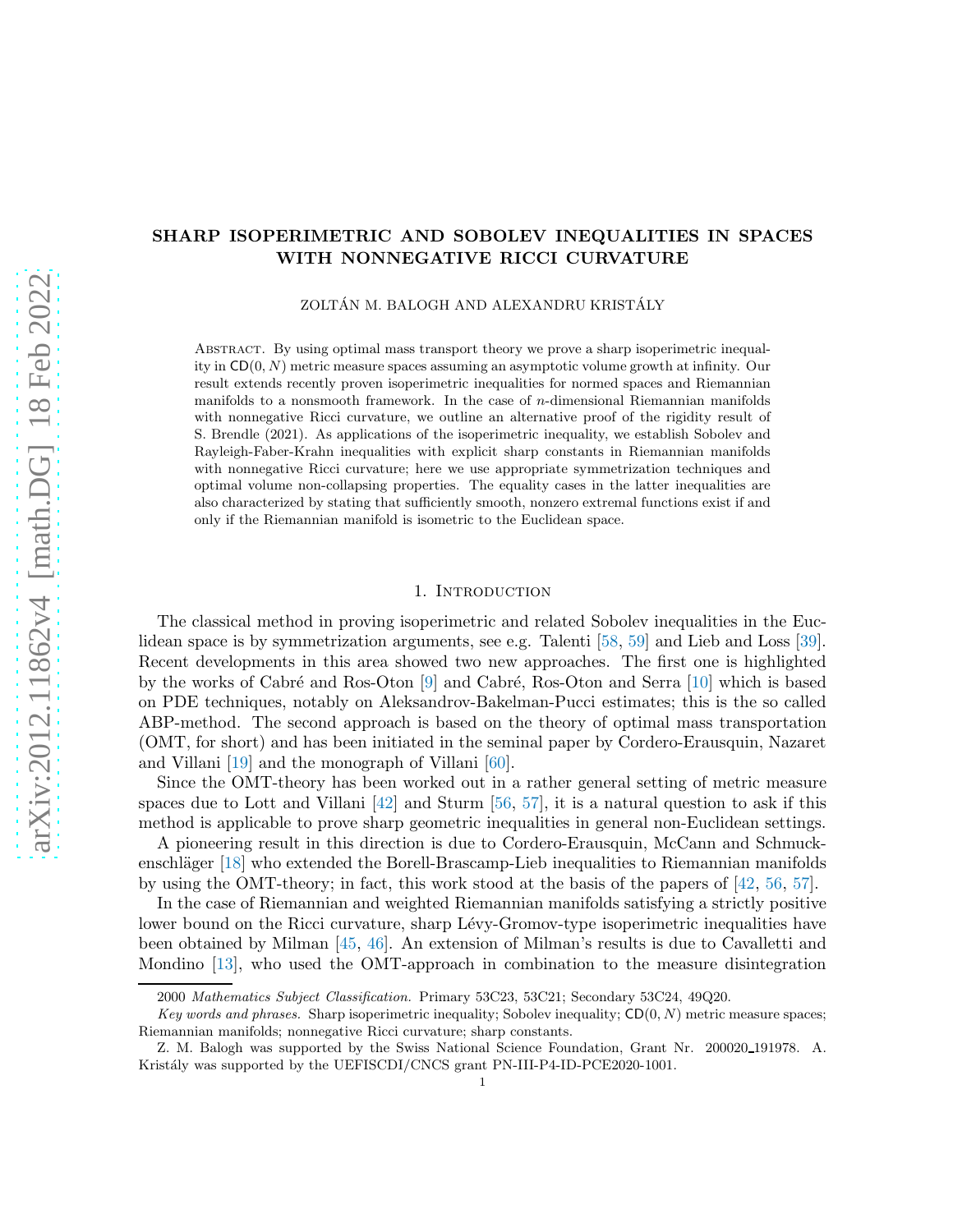## SHARP ISOPERIMETRIC AND SOBOLEV INEQUALITIES IN SPACES WITH NONNEGATIVE RICCI CURVATURE

ZOLTÁN M. BALOGH AND ALEXANDRU KRISTÁLY

Abstract. By using optimal mass transport theory we prove a sharp isoperimetric inequality in  $CD(0, N)$  metric measure spaces assuming an asymptotic volume growth at infinity. Our result extends recently proven isoperimetric inequalities for normed spaces and Riemannian manifolds to a nonsmooth framework. In the case of  $n$ -dimensional Riemannian manifolds with nonnegative Ricci curvature, we outline an alternative proof of the rigidity result of S. Brendle (2021). As applications of the isoperimetric inequality, we establish Sobolev and Rayleigh-Faber-Krahn inequalities with explicit sharp constants in Riemannian manifolds with nonnegative Ricci curvature; here we use appropriate symmetrization techniques and optimal volume non-collapsing properties. The equality cases in the latter inequalities are also characterized by stating that sufficiently smooth, nonzero extremal functions exist if and only if the Riemannian manifold is isometric to the Euclidean space.

## 1. Introduction

The classical method in proving isoperimetric and related Sobolev inequalities in the Euclidean space is by symmetrization arguments, see e.g. Talenti [\[58,](#page-22-0) [59\]](#page-22-1) and Lieb and Loss [\[39\]](#page-21-0). Recent developments in this area showed two new approaches. The first one is highlighted by the works of Cabré and Ros-Oton [\[9\]](#page-20-0) and Cabré, Ros-Oton and Serra [\[10\]](#page-20-1) which is based on PDE techniques, notably on Aleksandrov-Bakelman-Pucci estimates; this is the so called ABP-method. The second approach is based on the theory of optimal mass transportation (OMT, for short) and has been initiated in the seminal paper by Cordero-Erausquin, Nazaret and Villani [\[19\]](#page-20-2) and the monograph of Villani [\[60\]](#page-22-2).

Since the OMT-theory has been worked out in a rather general setting of metric measure spaces due to Lott and Villani  $[42]$  and Sturm  $[56, 57]$  $[56, 57]$ , it is a natural question to ask if this method is applicable to prove sharp geometric inequalities in general non-Euclidean settings.

A pioneering result in this direction is due to Cordero-Erausquin, McCann and Schmuck-enschläger [\[18\]](#page-20-3) who extended the Borell-Brascamp-Lieb inequalities to Riemannian manifolds by using the OMT-theory; in fact, this work stood at the basis of the papers of [\[42,](#page-21-1) [56,](#page-22-3) [57\]](#page-22-4).

In the case of Riemannian and weighted Riemannian manifolds satisfying a strictly positive lower bound on the Ricci curvature, sharp Lévy-Gromov-type isoperimetric inequalities have been obtained by Milman [\[45,](#page-21-2) [46\]](#page-21-3). An extension of Milman's results is due to Cavalletti and Mondino [\[13\]](#page-20-4), who used the OMT-approach in combination to the measure disintegration

<sup>2000</sup> Mathematics Subject Classification. Primary 53C23, 53C21; Secondary 53C24, 49Q20.

Key words and phrases. Sharp isoperimetric inequality; Sobolev inequality;  $CD(0, N)$  metric measure spaces; Riemannian manifolds; nonnegative Ricci curvature; sharp constants.

Z. M. Balogh was supported by the Swiss National Science Foundation, Grant Nr. 200020191978. A. Kristály was supported by the UEFISCDI/CNCS grant PN-III-P4-ID-PCE2020-1001.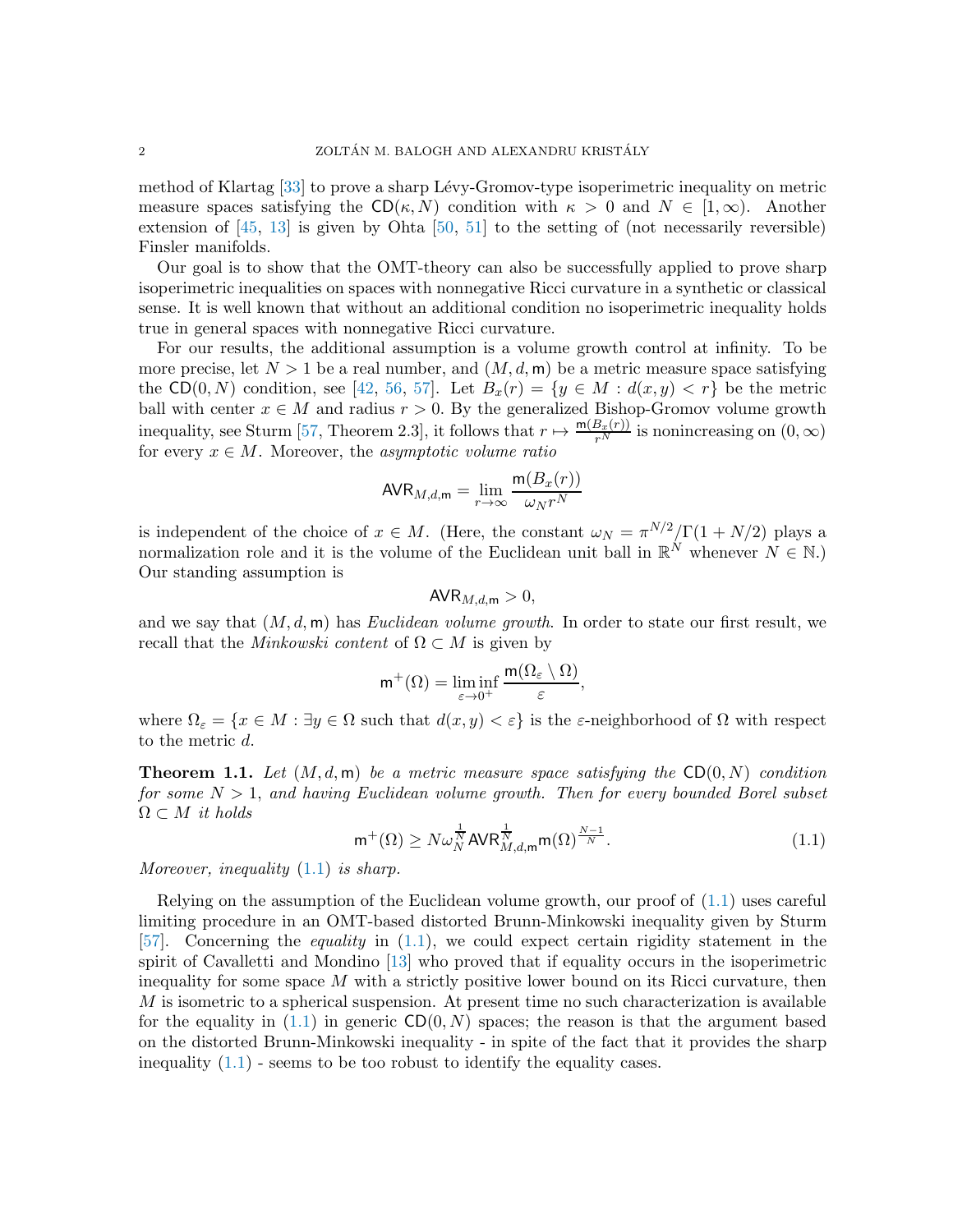method of Klartag [\[33\]](#page-21-4) to prove a sharp Lévy-Gromov-type isoperimetric inequality on metric measure spaces satisfying the  $CD(\kappa, N)$  condition with  $\kappa > 0$  and  $N \in [1,\infty)$ . Another extension of  $[45, 13]$  $[45, 13]$  is given by Ohta  $[50, 51]$  $[50, 51]$  to the setting of (not necessarily reversible) Finsler manifolds.

Our goal is to show that the OMT-theory can also be successfully applied to prove sharp isoperimetric inequalities on spaces with nonnegative Ricci curvature in a synthetic or classical sense. It is well known that without an additional condition no isoperimetric inequality holds true in general spaces with nonnegative Ricci curvature.

For our results, the additional assumption is a volume growth control at infinity. To be more precise, let  $N > 1$  be a real number, and  $(M, d, m)$  be a metric measure space satisfying the CD(0, N) condition, see [\[42,](#page-21-1) [56,](#page-22-3) [57\]](#page-22-4). Let  $B_x(r) = \{y \in M : d(x,y) < r\}$  be the metric ball with center  $x \in M$  and radius  $r > 0$ . By the generalized Bishop-Gromov volume growth inequality, see Sturm [\[57,](#page-22-4) Theorem 2.3], it follows that  $r \mapsto \frac{m(B_x(r))}{r^N}$  is nonincreasing on  $(0, \infty)$ for every  $x \in M$ . Moreover, the asymptotic volume ratio

$$
\text{AVR}_{M,d,\mathsf{m}} = \lim_{r \to \infty} \frac{\mathsf{m}(B_x(r))}{\omega_N r^N}
$$

is independent of the choice of  $x \in M$ . (Here, the constant  $\omega_N = \pi^{N/2}/\Gamma(1 + N/2)$  plays a normalization role and it is the volume of the Euclidean unit ball in  $\mathbb{R}^N$  whenever  $N \in \mathbb{N}$ .) Our standing assumption is

$$
\mathsf{AVR}_{M,d,\mathsf{m}} > 0,
$$

and we say that  $(M, d, m)$  has *Euclidean volume growth*. In order to state our first result, we recall that the *Minkowski content* of  $\Omega \subset M$  is given by

$$
m^+(\Omega)=\liminf_{\varepsilon\to 0^+}\frac{m(\Omega_\varepsilon\setminus\Omega)}{\varepsilon},
$$

where  $\Omega_{\varepsilon} = \{x \in M : \exists y \in \Omega \text{ such that } d(x, y) < \varepsilon\}$  is the  $\varepsilon$ -neighborhood of  $\Omega$  with respect to the metric d.

<span id="page-1-1"></span>**Theorem 1.1.** Let  $(M, d, m)$  be a metric measure space satisfying the CD(0, N) condition for some  $N > 1$ , and having Euclidean volume growth. Then for every bounded Borel subset  $\Omega \subset M$  it holds

<span id="page-1-0"></span>
$$
\mathsf{m}^+(\Omega) \ge N \omega_N^{\frac{1}{N}} \mathsf{AVR}_{M,d,\mathsf{m}}^{\frac{1}{N}} \mathsf{m}(\Omega)^{\frac{N-1}{N}}.
$$
\n
$$
(1.1)
$$

Moreover, inequality  $(1.1)$  is sharp.

Relying on the assumption of the Euclidean volume growth, our proof of [\(1.1\)](#page-1-0) uses careful limiting procedure in an OMT-based distorted Brunn-Minkowski inequality given by Sturm [\[57\]](#page-22-4). Concerning the equality in [\(1.1\)](#page-1-0), we could expect certain rigidity statement in the spirit of Cavalletti and Mondino [\[13\]](#page-20-4) who proved that if equality occurs in the isoperimetric inequality for some space  $M$  with a strictly positive lower bound on its Ricci curvature, then M is isometric to a spherical suspension. At present time no such characterization is available for the equality in  $(1.1)$  in generic  $CD(0, N)$  spaces; the reason is that the argument based on the distorted Brunn-Minkowski inequality - in spite of the fact that it provides the sharp inequality  $(1.1)$  - seems to be too robust to identify the equality cases.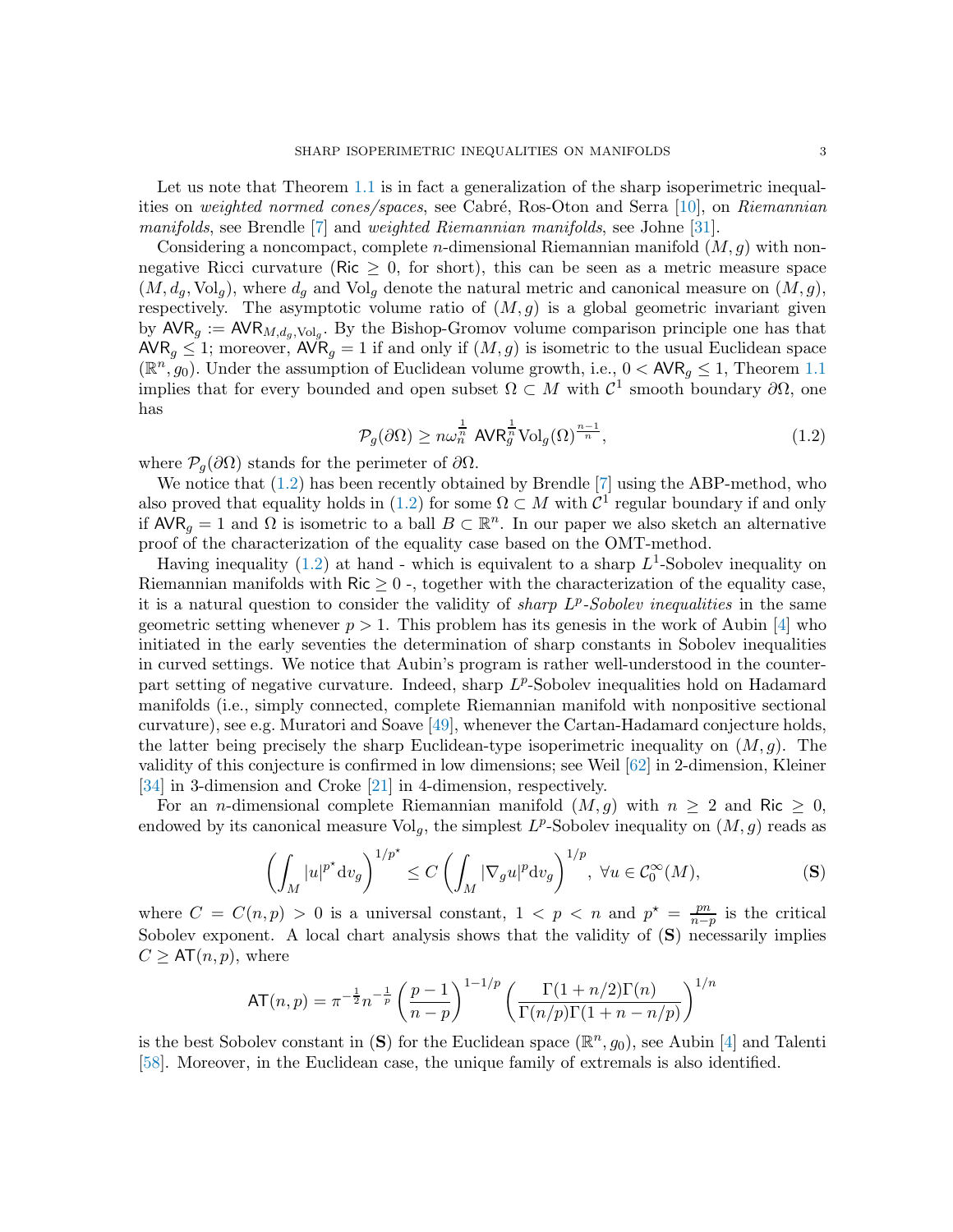Let us note that Theorem [1.1](#page-1-1) is in fact a generalization of the sharp isoperimetric inequal-ities on weighted normed cones/spaces, see Cabré, Ros-Oton and Serra [\[10\]](#page-20-1), on Riemannian *manifolds*, see Brendle  $\overline{7}$  and *weighted Riemannian manifolds*, see Johne [\[31\]](#page-21-5).

Considering a noncompact, complete *n*-dimensional Riemannian manifold  $(M, g)$  with nonnegative Ricci curvature (Ric  $\geq 0$ , for short), this can be seen as a metric measure space  $(M, d_g, \text{Vol}_g)$ , where  $d_g$  and  $\text{Vol}_g$  denote the natural metric and canonical measure on  $(M, g)$ , respectively. The asymptotic volume ratio of  $(M, g)$  is a global geometric invariant given by  $\mathsf{AVR}_g := \mathsf{AVR}_{M,d_g,\mathrm{Vol}_g}$ . By the Bishop-Gromov volume comparison principle one has that  $\mathsf{AVR}_g \leq 1$ ; moreover,  $\mathsf{AVR}_g = 1$  if and only if  $(M, g)$  is isometric to the usual Euclidean space  $(\mathbb{R}^n, g_0)$ . Under the assumption of Euclidean volume growth, i.e.,  $0 < \text{AVR}_g \leq 1$ , Theorem [1.1](#page-1-1) implies that for every bounded and open subset  $\Omega \subset M$  with  $\mathcal{C}^1$  smooth boundary  $\partial\Omega$ , one has

<span id="page-2-0"></span>
$$
\mathcal{P}_g(\partial \Omega) \ge n\omega_n^{\frac{1}{n}} \operatorname{AVR}_g^{\frac{1}{n}} \operatorname{Vol}_g(\Omega)^{\frac{n-1}{n}},\tag{1.2}
$$

where  $\mathcal{P}_q(\partial\Omega)$  stands for the perimeter of  $\partial\Omega$ .

We notice that [\(1.2\)](#page-2-0) has been recently obtained by Brendle [\[7\]](#page-20-5) using the ABP-method, who also proved that equality holds in [\(1.2\)](#page-2-0) for some  $\Omega \subset M$  with  $\mathcal{C}^1$  regular boundary if and only if  $\mathsf{AVR}_g = 1$  and  $\Omega$  is isometric to a ball  $B \subset \mathbb{R}^n$ . In our paper we also sketch an alternative proof of the characterization of the equality case based on the OMT-method.

Having inequality [\(1.2\)](#page-2-0) at hand - which is equivalent to a sharp  $L^1$ -Sobolev inequality on Riemannian manifolds with  $\text{Ric} \geq 0$  -, together with the characterization of the equality case, it is a natural question to consider the validity of *sharp*  $L^p$ -Sobolev inequalities in the same geometric setting whenever  $p > 1$ . This problem has its genesis in the work of Aubin [\[4\]](#page-20-6) who initiated in the early seventies the determination of sharp constants in Sobolev inequalities in curved settings. We notice that Aubin's program is rather well-understood in the counterpart setting of negative curvature. Indeed, sharp  $L^p$ -Sobolev inequalities hold on Hadamard manifolds (i.e., simply connected, complete Riemannian manifold with nonpositive sectional curvature), see e.g. Muratori and Soave [\[49\]](#page-22-7), whenever the Cartan-Hadamard conjecture holds, the latter being precisely the sharp Euclidean-type isoperimetric inequality on  $(M, q)$ . The validity of this conjecture is confirmed in low dimensions; see Weil [\[62\]](#page-22-8) in 2-dimension, Kleiner [\[34\]](#page-21-6) in 3-dimension and Croke [\[21\]](#page-20-7) in 4-dimension, respectively.

For an *n*-dimensional complete Riemannian manifold  $(M, q)$  with  $n \geq 2$  and Ric  $\geq 0$ , endowed by its canonical measure  $\text{Vol}_g$ , the simplest  $L^p$ -Sobolev inequality on  $(M, g)$  reads as

$$
\left(\int_M |u|^{p^*} \mathrm{d}v_g\right)^{1/p^*} \le C \left(\int_M |\nabla_g u|^p \mathrm{d}v_g\right)^{1/p}, \ \forall u \in \mathcal{C}_0^{\infty}(M),\tag{S}
$$

where  $C = C(n, p) > 0$  is a universal constant,  $1 < p < n$  and  $p^* = \frac{pn}{n-q}$  $\frac{pn}{n-p}$  is the critical Sobolev exponent. A local chart analysis shows that the validity of  $(S)$  necessarily implies  $C \geq AT(n,p)$ , where

$$
AT(n, p) = \pi^{-\frac{1}{2}} n^{-\frac{1}{p}} \left(\frac{p-1}{n-p}\right)^{1-1/p} \left(\frac{\Gamma(1+n/2)\Gamma(n)}{\Gamma(n/p)\Gamma(1+n-n/p)}\right)^{1/n}
$$

is the best Sobolev constant in (S) for the Euclidean space  $(\mathbb{R}^n, g_0)$ , see Aubin [\[4\]](#page-20-6) and Talenti [\[58\]](#page-22-0). Moreover, in the Euclidean case, the unique family of extremals is also identified.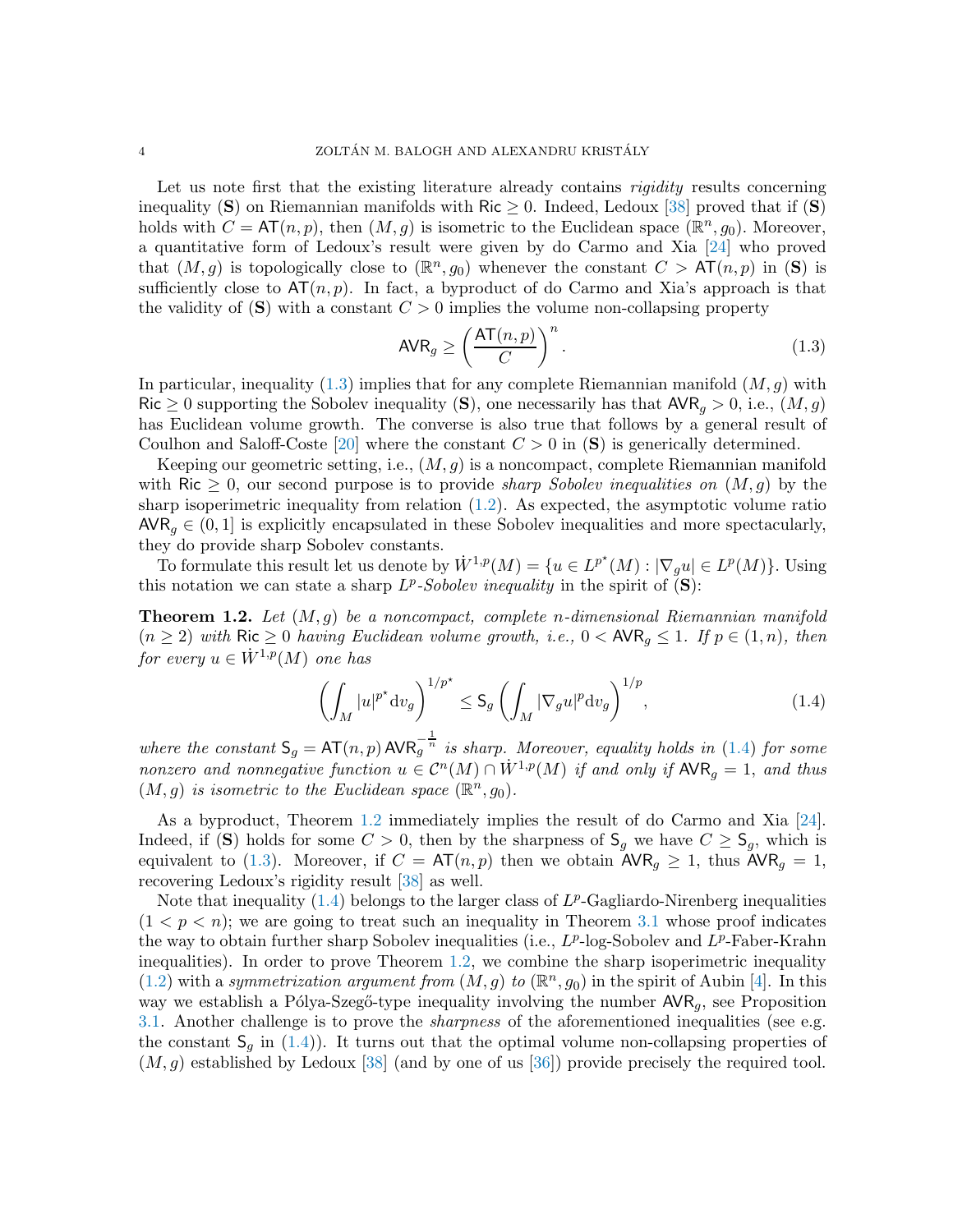Let us note first that the existing literature already contains *rigidity* results concerning inequality (S) on Riemannian manifolds with Ric  $\geq$  0. Indeed, Ledoux [\[38\]](#page-21-7) proved that if (S) holds with  $C = AT(n, p)$ , then  $(M, g)$  is isometric to the Euclidean space  $(\mathbb{R}^n, g_0)$ . Moreover, a quantitative form of Ledoux's result were given by do Carmo and Xia [\[24\]](#page-21-8) who proved that  $(M, g)$  is topologically close to  $(\mathbb{R}^n, g_0)$  whenever the constant  $C > AT(n, p)$  in  $(S)$  is sufficiently close to  $AT(n, p)$ . In fact, a byproduct of do Carmo and Xia's approach is that the validity of  $(S)$  with a constant  $C > 0$  implies the volume non-collapsing property

<span id="page-3-0"></span>
$$
AVR_g \ge \left(\frac{AT(n,p)}{C}\right)^n.
$$
\n(1.3)

In particular, inequality [\(1.3\)](#page-3-0) implies that for any complete Riemannian manifold  $(M, g)$  with Ric  $\geq 0$  supporting the Sobolev inequality (S), one necessarily has that  $AVR_g > 0$ , i.e.,  $(M, g)$ has Euclidean volume growth. The converse is also true that follows by a general result of Coulhon and Saloff-Coste [\[20\]](#page-20-8) where the constant  $C > 0$  in (S) is generically determined.

Keeping our geometric setting, i.e.,  $(M, g)$  is a noncompact, complete Riemannian manifold with Ric  $\geq 0$ , our second purpose is to provide *sharp Sobolev inequalities on*  $(M, g)$  by the sharp isoperimetric inequality from relation [\(1.2\)](#page-2-0). As expected, the asymptotic volume ratio  $AVR_q \in (0, 1]$  is explicitly encapsulated in these Sobolev inequalities and more spectacularly, they do provide sharp Sobolev constants.

To formulate this result let us denote by  $\dot{W}^{1,p}(M) = \{u \in L^{p^*}(M) : |\nabla_g u| \in L^p(M)\}.$  Using this notation we can state a sharp  $L^p$ -Sobolev inequality in the spirit of  $(\mathbf{S})$ :

<span id="page-3-2"></span>**Theorem 1.2.** Let  $(M, g)$  be a noncompact, complete n-dimensional Riemannian manifold  $(n \geq 2)$  with Ric  $\geq 0$  having Euclidean volume growth, i.e.,  $0 < \text{AVR}_q \leq 1$ . If  $p \in (1, n)$ , then for every  $u \in \dot{W}^{1,p}(M)$  one has

<span id="page-3-1"></span>
$$
\left(\int_{M}|u|^{p^{*}}\mathrm{d}v_{g}\right)^{1/p^{*}} \leq \mathsf{S}_{g}\left(\int_{M}|\nabla_{g}u|^{p}\mathrm{d}v_{g}\right)^{1/p},\tag{1.4}
$$

where the constant  $S_g = AT(n, p) AVR_g^{-\frac{1}{n}}$  is sharp. Moreover, equality holds in [\(1.4\)](#page-3-1) for some nonzero and nonnegative function  $u \in C^{n}(M) \cap \dot{W}^{1,p}(M)$  if and only if  $\mathsf{AVR}_g = 1$ , and thus  $(M, g)$  is isometric to the Euclidean space  $(\mathbb{R}^n, g_0)$ .

As a byproduct, Theorem [1.2](#page-3-2) immediately implies the result of do Carmo and Xia [\[24\]](#page-21-8). Indeed, if (S) holds for some  $C > 0$ , then by the sharpness of  $\mathsf{S}_g$  we have  $C \geq \mathsf{S}_g$ , which is equivalent to [\(1.3\)](#page-3-0). Moreover, if  $C = AT(n, p)$  then we obtain  $AVR<sub>g</sub> \ge 1$ , thus  $AVR<sub>g</sub> = 1$ , recovering Ledoux's rigidity result [\[38\]](#page-21-7) as well.

Note that inequality  $(1.4)$  belongs to the larger class of  $L^p$ -Gagliardo-Nirenberg inequalities  $(1 < p < n)$ ; we are going to treat such an inequality in Theorem [3.1](#page-16-0) whose proof indicates the way to obtain further sharp Sobolev inequalities (i.e.,  $L^p$ -log-Sobolev and  $L^p$ -Faber-Krahn inequalities). In order to prove Theorem [1.2,](#page-3-2) we combine the sharp isoperimetric inequality [\(1.2\)](#page-2-0) with a symmetrization argument from  $(M, g)$  to  $(\mathbb{R}^n, g_0)$  in the spirit of Aubin [\[4\]](#page-20-6). In this way we establish a Pólya-Szegő-type inequality involving the number  $AVR_q$ , see Proposition [3.1.](#page-14-0) Another challenge is to prove the sharpness of the aforementioned inequalities (see e.g. the constant  $S_g$  in [\(1.4\)](#page-3-1)). It turns out that the optimal volume non-collapsing properties of  $(M, g)$  established by Ledoux [\[38\]](#page-21-7) (and by one of us [\[36\]](#page-21-9)) provide precisely the required tool.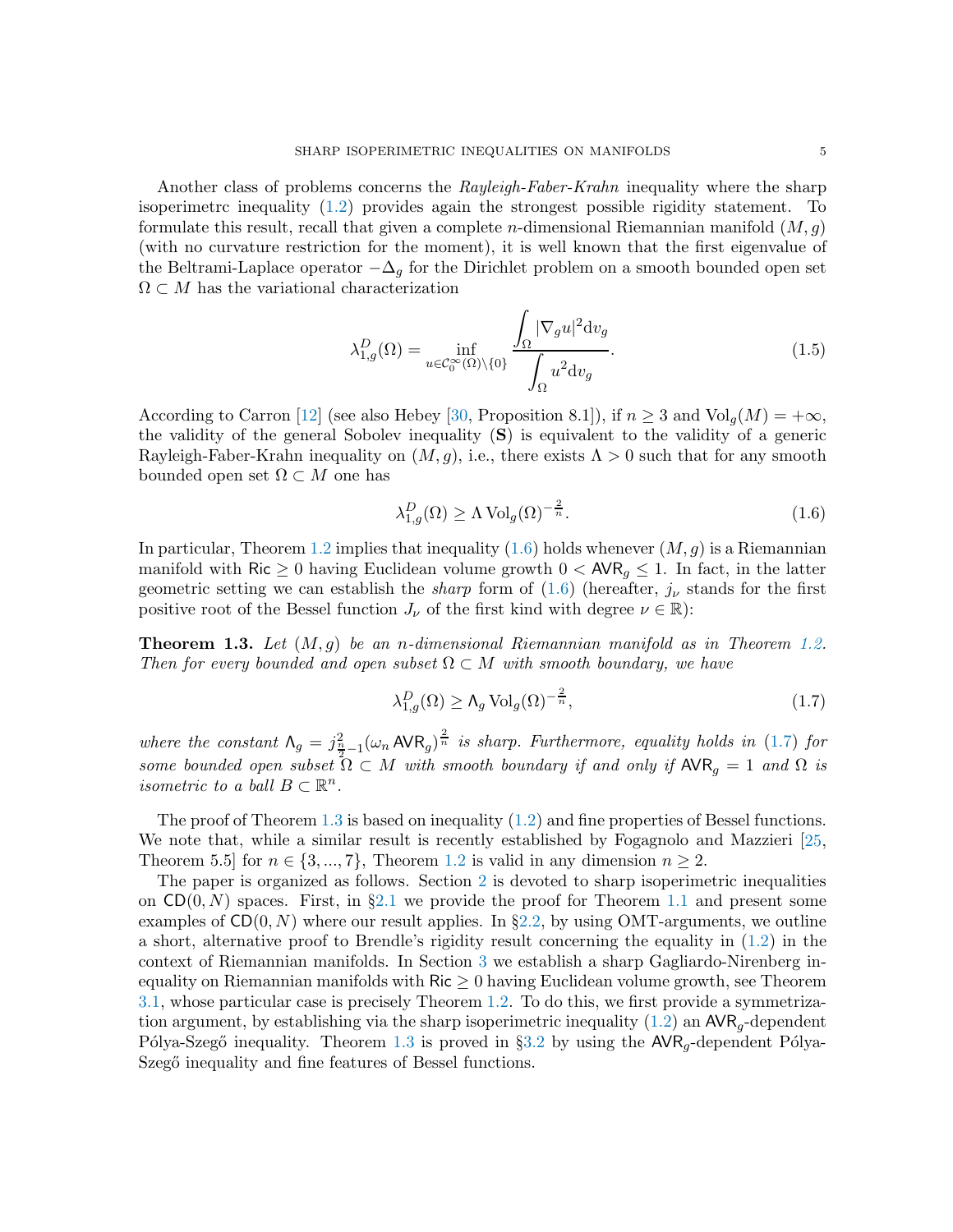Another class of problems concerns the *Rayleigh-Faber-Krahn* inequality where the sharp isoperimetrc inequality [\(1.2\)](#page-2-0) provides again the strongest possible rigidity statement. To formulate this result, recall that given a complete *n*-dimensional Riemannian manifold  $(M, g)$ (with no curvature restriction for the moment), it is well known that the first eigenvalue of the Beltrami-Laplace operator  $-\Delta_q$  for the Dirichlet problem on a smooth bounded open set  $\Omega \subset M$  has the variational characterization

<span id="page-4-3"></span>
$$
\lambda_{1,g}^D(\Omega) = \inf_{u \in \mathcal{C}_0^{\infty}(\Omega) \backslash \{0\}} \frac{\int_{\Omega} |\nabla_g u|^2 \mathrm{d} v_g}{\int_{\Omega} u^2 \mathrm{d} v_g}.
$$
\n(1.5)

According to Carron [\[12\]](#page-20-9) (see also Hebey [\[30,](#page-21-10) Proposition 8.1]), if  $n \geq 3$  and  $\text{Vol}_q(M) = +\infty$ , the validity of the general Sobolev inequality (S) is equivalent to the validity of a generic Rayleigh-Faber-Krahn inequality on  $(M, g)$ , i.e., there exists  $\Lambda > 0$  such that for any smooth bounded open set  $\Omega \subset M$  one has

<span id="page-4-0"></span>
$$
\lambda_{1,g}^D(\Omega) \ge \Lambda \operatorname{Vol}_g(\Omega)^{-\frac{2}{n}}.\tag{1.6}
$$

In particular, Theorem [1.2](#page-3-2) implies that inequality  $(1.6)$  holds whenever  $(M, g)$  is a Riemannian manifold with Ric  $\geq 0$  having Euclidean volume growth  $0 < \text{AVR}_g \leq 1$ . In fact, in the latter geometric setting we can establish the *sharp* form of  $(1.6)$  (hereafter,  $j_{\nu}$  stands for the first positive root of the Bessel function  $J_{\nu}$  of the first kind with degree  $\nu \in \mathbb{R}$ ):

<span id="page-4-2"></span>**Theorem 1.3.** Let  $(M, q)$  be an n-dimensional Riemannian manifold as in Theorem [1.2.](#page-3-2) Then for every bounded and open subset  $\Omega \subset M$  with smooth boundary, we have

<span id="page-4-1"></span>
$$
\lambda_{1,g}^D(\Omega) \ge \Lambda_g \operatorname{Vol}_g(\Omega)^{-\frac{2}{n}},\tag{1.7}
$$

where the constant  $\Lambda_g = j_{\frac{n}{2}-1}^2 (\omega_n AVR_g)^{\frac{2}{n}}$  is sharp. Furthermore, equality holds in [\(1.7\)](#page-4-1) for some bounded open subset  $\Omega \subset M$  with smooth boundary if and only if  $\mathsf{AVR}_q = 1$  and  $\Omega$  is isometric to a ball  $B \subset \mathbb{R}^n$ .

The proof of Theorem [1.3](#page-4-2) is based on inequality  $(1.2)$  and fine properties of Bessel functions. We note that, while a similar result is recently established by Fogagnolo and Mazzieri [\[25,](#page-21-11) Theorem 5.5] for  $n \in \{3, ..., 7\}$ , Theorem [1.2](#page-3-2) is valid in any dimension  $n \geq 2$ .

The paper is organized as follows. Section [2](#page-5-0) is devoted to sharp isoperimetric inequalities on  $CD(0, N)$  spaces. First, in §[2.1](#page-5-1) we provide the proof for Theorem [1.1](#page-1-1) and present some examples of  $CD(0, N)$  where our result applies. In §[2.2,](#page-9-0) by using OMT-arguments, we outline a short, alternative proof to Brendle's rigidity result concerning the equality in [\(1.2\)](#page-2-0) in the context of Riemannian manifolds. In Section [3](#page-14-1) we establish a sharp Gagliardo-Nirenberg inequality on Riemannian manifolds with  $\text{Ric} \geq 0$  having Euclidean volume growth, see Theorem [3.1,](#page-16-0) whose particular case is precisely Theorem [1.2.](#page-3-2) To do this, we first provide a symmetrization argument, by establishing via the sharp isoperimetric inequality  $(1.2)$  an  $\mathsf{AVR}_q$ -dependent Pólya-Szegő inequality. Theorem [1.3](#page-4-2) is proved in §[3.2](#page-18-0) by using the  $AVR_q$ -dependent Pólya-Szegő inequality and fine features of Bessel functions.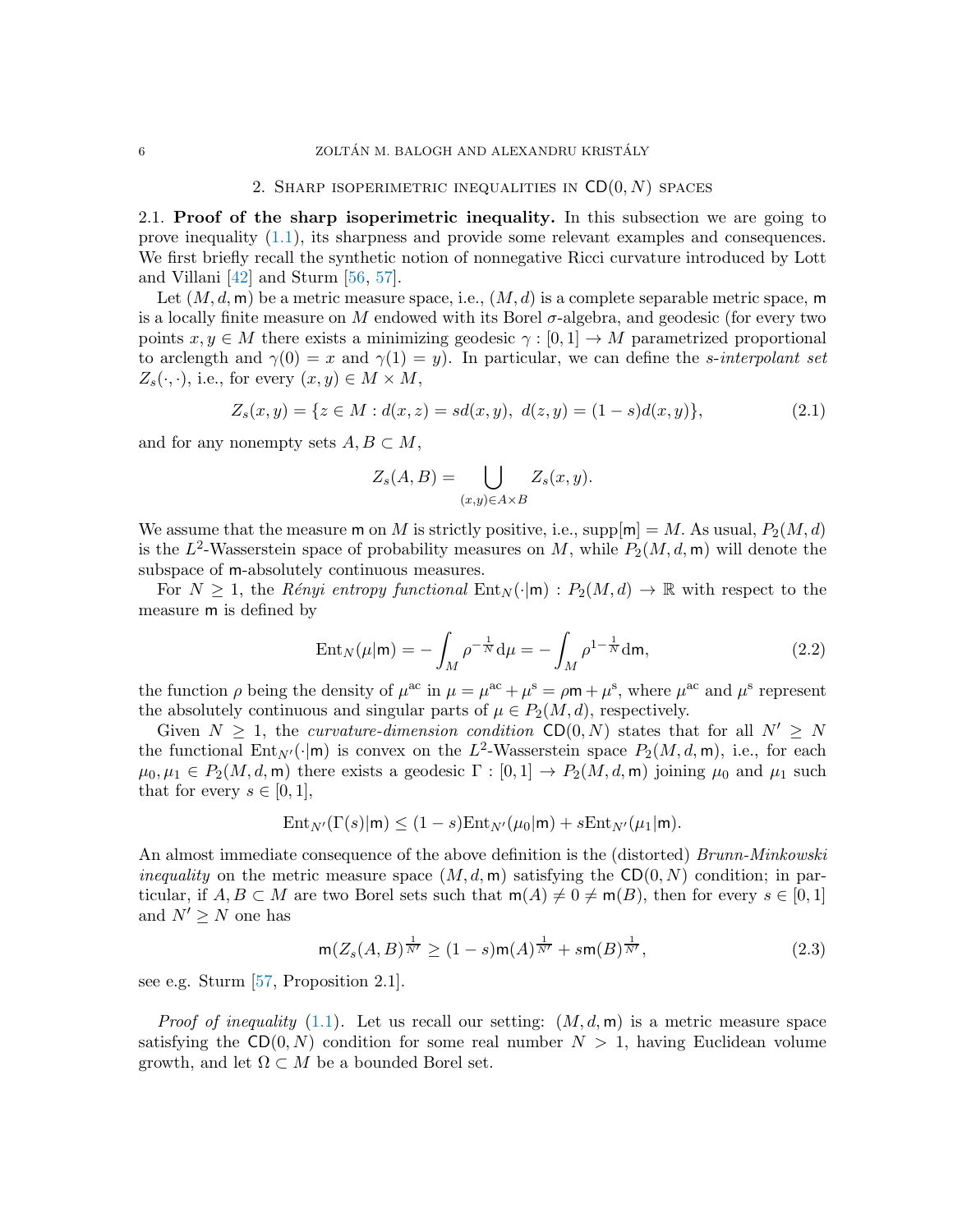## 2. SHARP ISOPERIMETRIC INEQUALITIES IN  $CD(0, N)$  spaces

<span id="page-5-1"></span><span id="page-5-0"></span>2.1. Proof of the sharp isoperimetric inequality. In this subsection we are going to prove inequality [\(1.1\)](#page-1-0), its sharpness and provide some relevant examples and consequences. We first briefly recall the synthetic notion of nonnegative Ricci curvature introduced by Lott and Villani [\[42\]](#page-21-1) and Sturm [\[56,](#page-22-3) [57\]](#page-22-4).

Let  $(M, d, m)$  be a metric measure space, i.e.,  $(M, d)$  is a complete separable metric space, m is a locally finite measure on M endowed with its Borel  $\sigma$ -algebra, and geodesic (for every two points  $x, y \in M$  there exists a minimizing geodesic  $\gamma : [0, 1] \to M$  parametrized proportional to arclength and  $\gamma(0) = x$  and  $\gamma(1) = y$ . In particular, we can define the *s*-interpolant set  $Z_s(\cdot, \cdot)$ , i.e., for every  $(x, y) \in M \times M$ ,

$$
Z_s(x,y) = \{ z \in M : d(x,z) = sd(x,y), d(z,y) = (1-s)d(x,y) \},
$$
\n(2.1)

and for any nonempty sets  $A, B \subset M$ ,

$$
Z_s(A, B) = \bigcup_{(x,y)\in A\times B} Z_s(x, y).
$$

We assume that the measure m on M is strictly positive, i.e.,  $\text{supp}[m] = M$ . As usual,  $P_2(M, d)$ is the  $L^2$ -Wasserstein space of probability measures on M, while  $P_2(M, d, m)$  will denote the subspace of m-absolutely continuous measures.

For  $N \geq 1$ , the Rényi entropy functional  $Ent_N(\cdot | m) : P_2(M, d) \to \mathbb{R}$  with respect to the measure m is defined by

$$
Ent_N(\mu|m) = -\int_M \rho^{-\frac{1}{N}} d\mu = -\int_M \rho^{1-\frac{1}{N}} dm,
$$
\n(2.2)

the function  $\rho$  being the density of  $\mu^{ac}$  in  $\mu = \mu^{ac} + \mu^s = \rho \mathbf{m} + \mu^s$ , where  $\mu^{ac}$  and  $\mu^s$  represent the absolutely continuous and singular parts of  $\mu \in P_2(M, d)$ , respectively.

Given  $N > 1$ , the *curvature-dimension condition* CD(0, N) states that for all  $N' > N$ the functional  $Ent_{N'}(\cdot | m)$  is convex on the L<sup>2</sup>-Wasserstein space  $P_2(M, d, m)$ , i.e., for each  $\mu_0, \mu_1 \in P_2(M, d, m)$  there exists a geodesic  $\Gamma : [0, 1] \to P_2(M, d, m)$  joining  $\mu_0$  and  $\mu_1$  such that for every  $s \in [0,1],$ 

$$
Ent_{N'}(\Gamma(s)|\mathsf{m}) \le (1-s) Ent_{N'}(\mu_0|\mathsf{m}) + s Ent_{N'}(\mu_1|\mathsf{m}).
$$

An almost immediate consequence of the above definition is the (distorted) *Brunn-Minkowski* inequality on the metric measure space  $(M, d, m)$  satisfying the CD $(0, N)$  condition; in particular, if  $A, B \subset M$  are two Borel sets such that  $m(A) \neq 0 \neq m(B)$ , then for every  $s \in [0,1]$ and  $N' \geq N$  one has

<span id="page-5-2"></span>
$$
\mathsf{m}(Z_s(A,B)^{\frac{1}{N'}} \ge (1-s)\mathsf{m}(A)^{\frac{1}{N'}} + s\mathsf{m}(B)^{\frac{1}{N'}},\tag{2.3}
$$

see e.g. Sturm [\[57,](#page-22-4) Proposition 2.1].

*Proof of inequality* [\(1.1\)](#page-1-0). Let us recall our setting:  $(M, d, m)$  is a metric measure space satisfying the  $CD(0, N)$  condition for some real number  $N > 1$ , having Euclidean volume growth, and let  $\Omega \subset M$  be a bounded Borel set.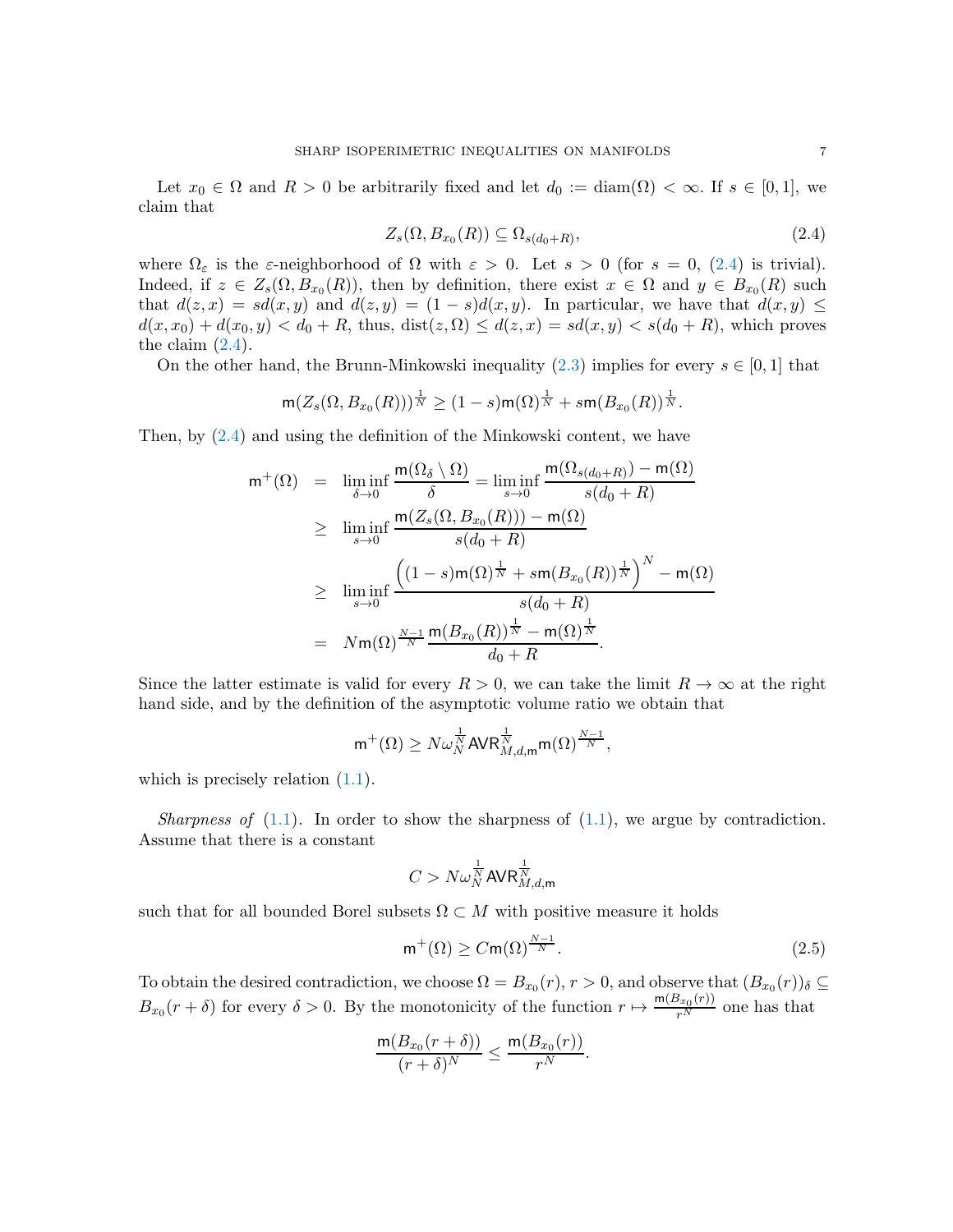Let  $x_0 \in \Omega$  and  $R > 0$  be arbitrarily fixed and let  $d_0 := \text{diam}(\Omega) < \infty$ . If  $s \in [0,1]$ , we claim that

<span id="page-6-0"></span>
$$
Z_s(\Omega, B_{x_0}(R)) \subseteq \Omega_{s(d_0+R)},\tag{2.4}
$$

where  $\Omega_{\varepsilon}$  is the  $\varepsilon$ -neighborhood of  $\Omega$  with  $\varepsilon > 0$ . Let  $s > 0$  (for  $s = 0$ , [\(2.4\)](#page-6-0) is trivial). Indeed, if  $z \in Z_s(\Omega, B_{x_0}(R))$ , then by definition, there exist  $x \in \Omega$  and  $y \in B_{x_0}(R)$  such that  $d(z, x) = sd(x, y)$  and  $d(z, y) = (1 - s)d(x, y)$ . In particular, we have that  $d(x, y) \leq$  $d(x, x_0) + d(x_0, y) < d_0 + R$ , thus,  $dist(z, \Omega) \leq d(z, x) = sd(x, y) < s(d_0 + R)$ , which proves the claim  $(2.4)$ .

On the other hand, the Brunn-Minkowski inequality [\(2.3\)](#page-5-2) implies for every  $s \in [0, 1]$  that

$$
\mathsf{m}(Z_s(\Omega, B_{x_0}(R)))^{\frac{1}{N}} \ge (1-s)\mathsf{m}(\Omega)^{\frac{1}{N}} + s\mathsf{m}(B_{x_0}(R))^{\frac{1}{N}}.
$$

Then, by [\(2.4\)](#page-6-0) and using the definition of the Minkowski content, we have

$$
m^{+}(\Omega) = \liminf_{\delta \to 0} \frac{m(\Omega_{\delta} \setminus \Omega)}{\delta} = \liminf_{s \to 0} \frac{m(\Omega_{s(d_0 + R)}) - m(\Omega)}{s(d_0 + R)}
$$
  
\n
$$
\geq \liminf_{s \to 0} \frac{m(Z_s(\Omega, B_{x_0}(R))) - m(\Omega)}{s(d_0 + R)}
$$
  
\n
$$
\geq \liminf_{s \to 0} \frac{\left((1 - s)m(\Omega)^{\frac{1}{N}} + sm(B_{x_0}(R))^{\frac{1}{N}}\right)^N - m(\Omega)}{s(d_0 + R)}
$$
  
\n
$$
= Nm(\Omega)^{\frac{N-1}{N}} \frac{m(B_{x_0}(R))^{\frac{1}{N}} - m(\Omega)^{\frac{1}{N}}}{d_0 + R}.
$$

Since the latter estimate is valid for every  $R > 0$ , we can take the limit  $R \to \infty$  at the right hand side, and by the definition of the asymptotic volume ratio we obtain that

$$
\mathsf{m}^+(\Omega) \geq N \omega_N^{\frac{1}{N}} \mathsf{AVR}_{M,d,\mathsf{m}}^{\frac{1}{N}} \mathsf{m}(\Omega)^{\frac{N-1}{N}},
$$

which is precisely relation  $(1.1)$ .

Sharpness of  $(1.1)$ . In order to show the sharpness of  $(1.1)$ , we argue by contradiction. Assume that there is a constant

$$
C > N \omega_N^{\frac{1}{N}} \textsf{AVR}_{M,d,\textsf{m}}^{\frac{1}{N}}
$$

such that for all bounded Borel subsets  $\Omega \subset M$  with positive measure it holds

<span id="page-6-1"></span>
$$
m^{+}(\Omega) \ge C m(\Omega)^{\frac{N-1}{N}}.
$$
\n(2.5)

To obtain the desired contradiction, we choose  $\Omega = B_{x_0}(r)$ ,  $r > 0$ , and observe that  $(B_{x_0}(r))_{\delta} \subseteq$  $B_{x_0}(r+\delta)$  for every  $\delta > 0$ . By the monotonicity of the function  $r \mapsto \frac{m(B_{x_0}(r))}{r^N}$  one has that

$$
\frac{m(B_{x_0}(r+\delta))}{(r+\delta)^N} \le \frac{m(B_{x_0}(r))}{r^N}.
$$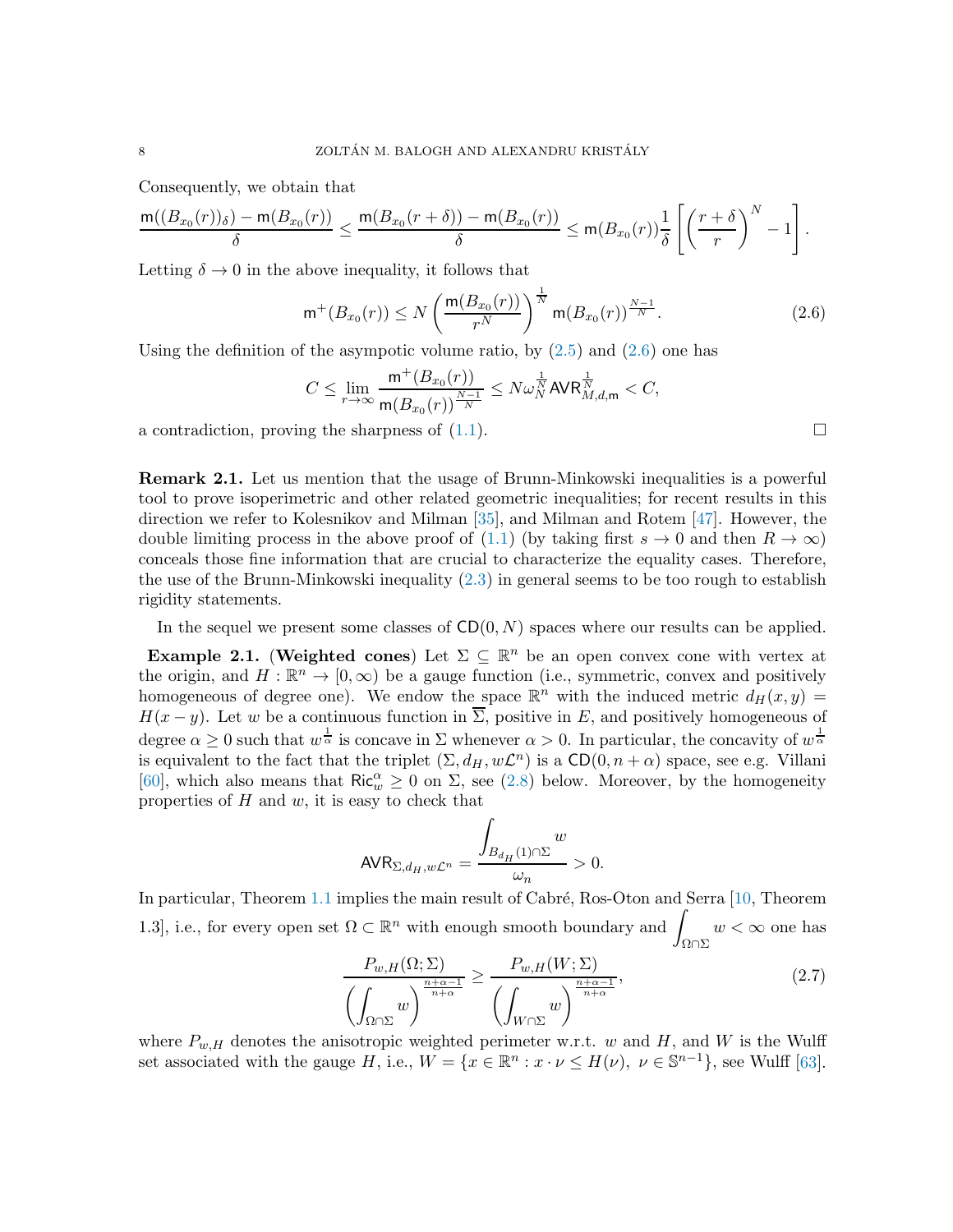Consequently, we obtain that

$$
\frac{\mathrm{m}((B_{x_0}(r))_{\delta})-\mathrm{m}(B_{x_0}(r))}{\delta}\leq \frac{\mathrm{m}(B_{x_0}(r+\delta))-\mathrm{m}(B_{x_0}(r))}{\delta}\leq \mathrm{m}(B_{x_0}(r))\frac{1}{\delta}\left[\left(\frac{r+\delta}{r}\right)^N-1\right].
$$

Letting  $\delta \to 0$  in the above inequality, it follows that

<span id="page-7-0"></span>
$$
\mathsf{m}^+(B_{x_0}(r)) \le N \left(\frac{\mathsf{m}(B_{x_0}(r))}{r^N}\right)^{\frac{1}{N}} \mathsf{m}(B_{x_0}(r))^{\frac{N-1}{N}}.\tag{2.6}
$$

Using the definition of the asympotic volume ratio, by  $(2.5)$  and  $(2.6)$  one has

$$
C\leq \lim_{r\to\infty}\frac{{\mathsf{m}}^+(B_{x_0}(r))}{{\mathsf{m}}(B_{x_0}(r))^{\frac{N-1}{N}}}\leq N\omega_N^{\frac{1}{N}}{\sf AVR}_{M,d,{\mathsf{m}}}^{\frac{1}{N}}
$$

a contradiction, proving the sharpness of  $(1.1)$ .

Remark 2.1. Let us mention that the usage of Brunn-Minkowski inequalities is a powerful tool to prove isoperimetric and other related geometric inequalities; for recent results in this direction we refer to Kolesnikov and Milman [\[35\]](#page-21-12), and Milman and Rotem [\[47\]](#page-21-13). However, the double limiting process in the above proof of [\(1.1\)](#page-1-0) (by taking first  $s \to 0$  and then  $R \to \infty$ ) conceals those fine information that are crucial to characterize the equality cases. Therefore, the use of the Brunn-Minkowski inequality [\(2.3\)](#page-5-2) in general seems to be too rough to establish rigidity statements.

In the sequel we present some classes of  $CD(0, N)$  spaces where our results can be applied.

<span id="page-7-2"></span>**Example 2.1.** (Weighted cones) Let  $\Sigma \subseteq \mathbb{R}^n$  be an open convex cone with vertex at the origin, and  $H: \mathbb{R}^n \to [0, \infty)$  be a gauge function (i.e., symmetric, convex and positively homogeneous of degree one). We endow the space  $\mathbb{R}^n$  with the induced metric  $d_H(x,y)$  =  $H(x - y)$ . Let w be a continuous function in  $\overline{\Sigma}$ , positive in E, and positively homogeneous of degree  $\alpha \geq 0$  such that  $w^{\frac{1}{\alpha}}$  is concave in  $\Sigma$  whenever  $\alpha > 0$ . In particular, the concavity of  $w^{\frac{1}{\alpha}}$ is equivalent to the fact that the triplet  $(\Sigma, d_H, w\mathcal{L}^n)$  is a  $CD(0, n + \alpha)$  space, see e.g. Villani [\[60\]](#page-22-2), which also means that  $\text{Ric}_{w}^{\alpha} \geq 0$  on  $\Sigma$ , see [\(2.8\)](#page-8-0) below. Moreover, by the homogeneity properties of  $H$  and  $w$ , it is easy to check that

$$
{\sf AVR}_{\Sigma,d_H,w\mathcal L^n}=\frac{\displaystyle\int_{B_{d_H}(1)\cap\Sigma}w}{\omega_n}>0.
$$

In particular, Theorem [1.1](#page-1-1) implies the main result of Cabré, Ros-Oton and Serra  $[10,$  Theorem 1.3, i.e., for every open set  $\Omega \subset \mathbb{R}^n$  with enough smooth boundary and  $\Box$ Ω∩Σ  $w < \infty$  one has

<span id="page-7-1"></span>
$$
\frac{P_{w,H}(\Omega;\Sigma)}{\left(\int_{\Omega \cap \Sigma} w\right)^{\frac{n+\alpha-1}{n+\alpha}}} \ge \frac{P_{w,H}(W;\Sigma)}{\left(\int_{W \cap \Sigma} w\right)^{\frac{n+\alpha-1}{n+\alpha}}},\tag{2.7}
$$

where  $P_{w,H}$  denotes the anisotropic weighted perimeter w.r.t. w and H, and W is the Wulff set associated with the gauge H, i.e.,  $W = \{x \in \mathbb{R}^n : x \cdot \nu \le H(\nu), \ \nu \in \mathbb{S}^{n-1}\},\$ see Wulff [\[63\]](#page-22-9).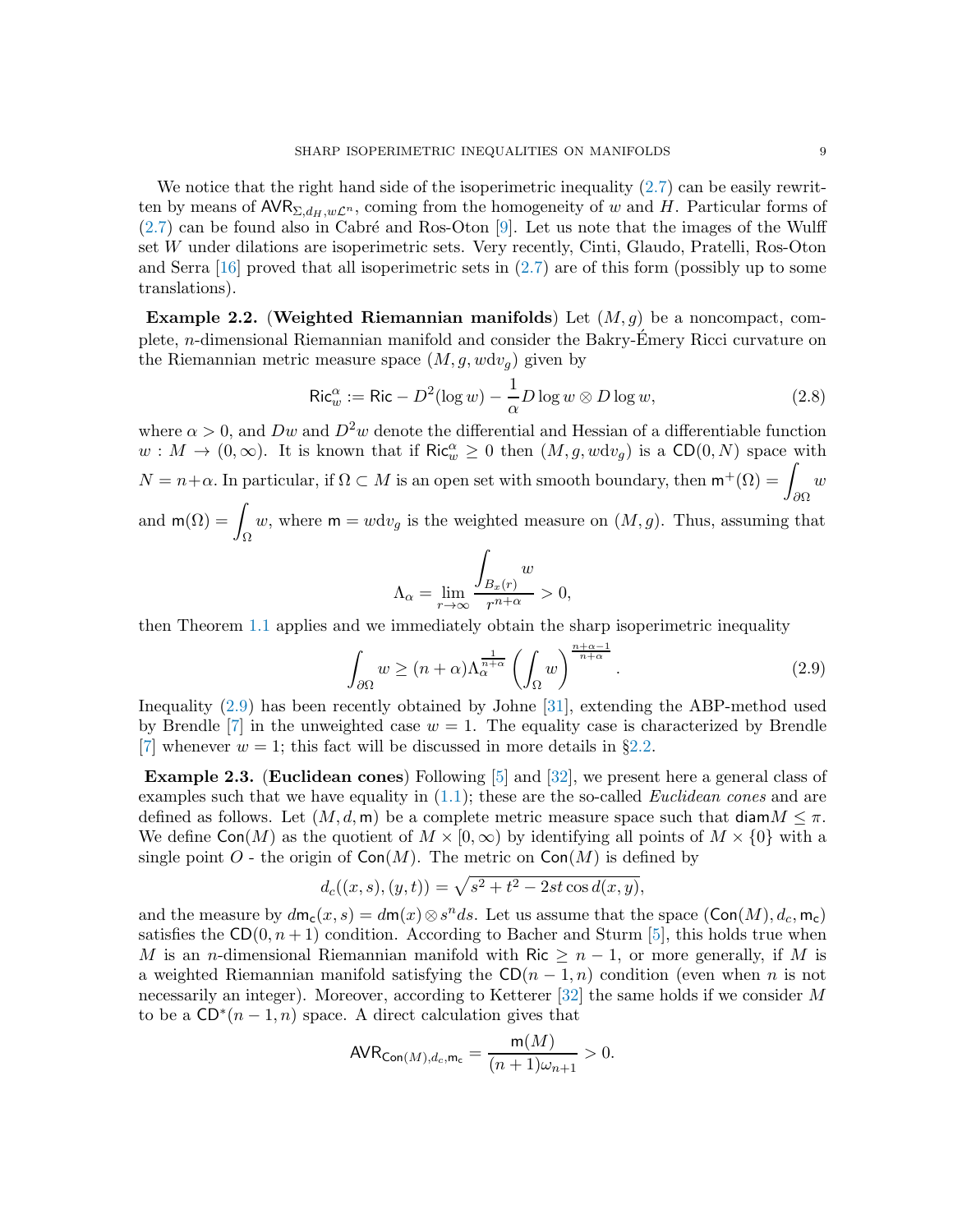We notice that the right hand side of the isoperimetric inequality  $(2.7)$  can be easily rewritten by means of  $AVR_{\Sigma,d_H,w\mathcal{L}^n}$ , coming from the homogeneity of w and H. Particular forms of  $(2.7)$  can be found also in Cabré and Ros-Oton [\[9\]](#page-20-0). Let us note that the images of the Wulff set W under dilations are isoperimetric sets. Very recently, Cinti, Glaudo, Pratelli, Ros-Oton and Serra  $[16]$  proved that all isoperimetric sets in  $(2.7)$  are of this form (possibly up to some translations).

<span id="page-8-2"></span>**Example 2.2.** (Weighted Riemannian manifolds) Let  $(M, q)$  be a noncompact, complete, n-dimensional Riemannian manifold and consider the Bakry-Emery Ricci curvature on ´ the Riemannian metric measure space  $(M, g, wdv_q)$  given by

<span id="page-8-0"></span>
$$
\operatorname{Ric}_{w}^{\alpha} := \operatorname{Ric} - D^{2}(\log w) - \frac{1}{\alpha}D\log w \otimes D\log w, \tag{2.8}
$$

where  $\alpha > 0$ , and  $Dw$  and  $D^2w$  denote the differential and Hessian of a differentiable function  $w: M \to (0, \infty)$ . It is known that if  $\text{Ric}_{w}^{\alpha} \geq 0$  then  $(M, g, wdv_g)$  is a  $\text{CD}(0, N)$  space with  $N = n + \alpha$ . In particular, if  $\Omega \subset M$  is an open set with smooth boundary, then  $\mathsf{m}^+(\Omega) = \int w \, dw$ and  $m(\Omega) = \int w$ , where  $m = w dv_g$  is the weighted measure on  $(M, g)$ . Thus, assuming th Ω w, where  $m = wdv_g$  is the weighted measure on  $(M, g)$ . Thus, assuming that

$$
\Lambda_{\alpha} = \lim_{r \to \infty} \frac{\int_{B_x(r)} w}{r^{n+\alpha}} > 0,
$$

then Theorem [1.1](#page-1-1) applies and we immediately obtain the sharp isoperimetric inequality

<span id="page-8-1"></span>
$$
\int_{\partial\Omega} w \ge (n+\alpha)\Lambda_\alpha^{\frac{1}{n+\alpha}} \left(\int_{\Omega} w\right)^{\frac{n+\alpha-1}{n+\alpha}}.\tag{2.9}
$$

Inequality [\(2.9\)](#page-8-1) has been recently obtained by Johne [\[31\]](#page-21-5), extending the ABP-method used by Brendle [\[7\]](#page-20-5) in the unweighted case  $w = 1$ . The equality case is characterized by Brendle [\[7\]](#page-20-5) whenever  $w = 1$ ; this fact will be discussed in more details in §[2.2.](#page-9-0)

Example 2.3. (Euclidean cones) Following [\[5\]](#page-20-11) and [\[32\]](#page-21-14), we present here a general class of examples such that we have equality in  $(1.1)$ ; these are the so-called *Euclidean cones* and are defined as follows. Let  $(M, d, m)$  be a complete metric measure space such that diam $M \leq \pi$ . We define  $Con(M)$  as the quotient of  $M \times [0,\infty)$  by identifying all points of  $M \times \{0\}$  with a single point O - the origin of  $Con(M)$ . The metric on  $Con(M)$  is defined by

$$
d_c((x, s), (y, t)) = \sqrt{s^2 + t^2 - 2st \cos d(x, y)},
$$

and the measure by  $d\mathsf{m}_{\mathsf{c}}(x,s) = d\mathsf{m}(x) \otimes s^n ds$ . Let us assume that the space  $(\mathsf{Con}(M), d_c, \mathsf{m}_{\mathsf{c}})$ satisfies the  $CD(0, n+1)$  condition. According to Bacher and Sturm [\[5\]](#page-20-11), this holds true when M is an n-dimensional Riemannian manifold with Ric  $\geq n-1$ , or more generally, if M is a weighted Riemannian manifold satisfying the  $CD(n-1, n)$  condition (even when n is not necessarily an integer). Moreover, according to Ketterer [\[32\]](#page-21-14) the same holds if we consider M to be a  $CD^*(n-1,n)$  space. A direct calculation gives that

$$
{\sf AVR}_{\operatorname{Con}(M),d_c,{\sf m}_{{\sf c}}}=\frac{{\sf m}(M)}{(n+1)\omega_{n+1}}>0.
$$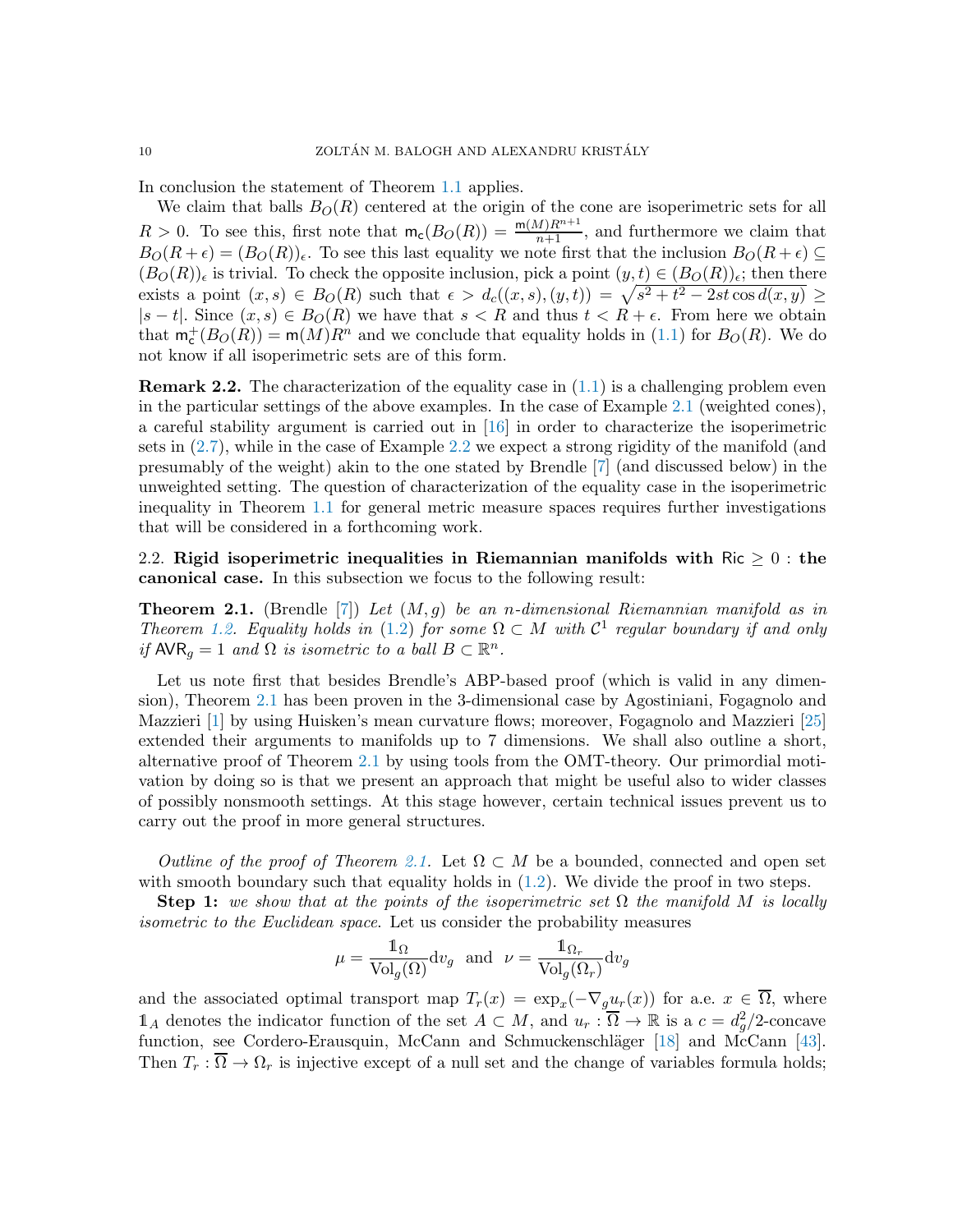In conclusion the statement of Theorem [1.1](#page-1-1) applies.

We claim that balls  $B_O(R)$  centered at the origin of the cone are isoperimetric sets for all  $R > 0$ . To see this, first note that  $m_c(B_O(R)) = \frac{m(M)R^{n+1}}{n+1}$ , and furthermore we claim that  $B_O(R + \epsilon) = (B_O(R))_{\epsilon}$ . To see this last equality we note first that the inclusion  $B_O(R + \epsilon) \subseteq$  $(B_O(R))_\epsilon$  is trivial. To check the opposite inclusion, pick a point  $(y, t) \in (B_O(R))_\epsilon$ ; then there exists a point  $(x, s) \in B_O(R)$  such that  $\epsilon > d_c((x, s), (y, t)) = \sqrt{s^2 + t^2 - 2st \cos d(x, y)} \ge$  $|s-t|$ . Since  $(x, s) \in B<sub>O</sub>(R)$  we have that  $s < R$  and thus  $t < R + \epsilon$ . From here we obtain that  $m_c^+(B_O(R)) = m(M)R^n$  and we conclude that equality holds in [\(1.1\)](#page-1-0) for  $B_O(R)$ . We do not know if all isoperimetric sets are of this form.

**Remark 2.2.** The characterization of the equality case in  $(1.1)$  is a challenging problem even in the particular settings of the above examples. In the case of Example [2.1](#page-7-2) (weighted cones), a careful stability argument is carried out in [\[16\]](#page-20-10) in order to characterize the isoperimetric sets in [\(2.7\)](#page-7-1), while in the case of Example [2.2](#page-8-2) we expect a strong rigidity of the manifold (and presumably of the weight) akin to the one stated by Brendle [\[7\]](#page-20-5) (and discussed below) in the unweighted setting. The question of characterization of the equality case in the isoperimetric inequality in Theorem [1.1](#page-1-1) for general metric measure spaces requires further investigations that will be considered in a forthcoming work.

<span id="page-9-0"></span>2.2. Rigid isoperimetric inequalities in Riemannian manifolds with  $\text{Ric} > 0$ : the canonical case. In this subsection we focus to the following result:

<span id="page-9-1"></span>**Theorem 2.1.** (Brendle [\[7\]](#page-20-5)) Let  $(M, g)$  be an n-dimensional Riemannian manifold as in Theorem [1.2.](#page-3-2) Equality holds in [\(1.2\)](#page-2-0) for some  $\Omega \subset M$  with  $\mathcal{C}^1$  regular boundary if and only if  $AVR_g = 1$  and  $\Omega$  is isometric to a ball  $B \subset \mathbb{R}^n$ .

Let us note first that besides Brendle's ABP-based proof (which is valid in any dimension), Theorem [2.1](#page-9-1) has been proven in the 3-dimensional case by Agostiniani, Fogagnolo and Mazzieri [\[1\]](#page-20-12) by using Huisken's mean curvature flows; moreover, Fogagnolo and Mazzieri [\[25\]](#page-21-11) extended their arguments to manifolds up to 7 dimensions. We shall also outline a short, alternative proof of Theorem [2.1](#page-9-1) by using tools from the OMT-theory. Our primordial motivation by doing so is that we present an approach that might be useful also to wider classes of possibly nonsmooth settings. At this stage however, certain technical issues prevent us to carry out the proof in more general structures.

Outline of the proof of Theorem [2.1.](#page-9-1) Let  $\Omega \subset M$  be a bounded, connected and open set with smooth boundary such that equality holds in  $(1.2)$ . We divide the proof in two steps.

Step 1: we show that at the points of the isoperimetric set  $\Omega$  the manifold M is locally isometric to the Euclidean space. Let us consider the probability measures

$$
\mu = \frac{\mathbb{1}_{\Omega}}{\text{Vol}_g(\Omega)}\text{d}v_g\ \ \text{and}\ \ \nu = \frac{\mathbb{1}_{\Omega_r}}{\text{Vol}_g(\Omega_r)}\text{d}v_g
$$

and the associated optimal transport map  $T_r(x) = \exp_x(-\nabla_g u_r(x))$  for a.e.  $x \in \Omega$ , where  $\mathbb{1}_A$  denotes the indicator function of the set  $A \subset M$ , and  $u_r : \overline{\Omega} \to \mathbb{R}$  is a  $c = d_g^2/2$ -concave function, see Cordero-Erausquin, McCann and Schmuckenschläger [\[18\]](#page-20-3) and McCann [\[43\]](#page-21-15). Then  $T_r : \overline{\Omega} \to \Omega_r$  is injective except of a null set and the change of variables formula holds;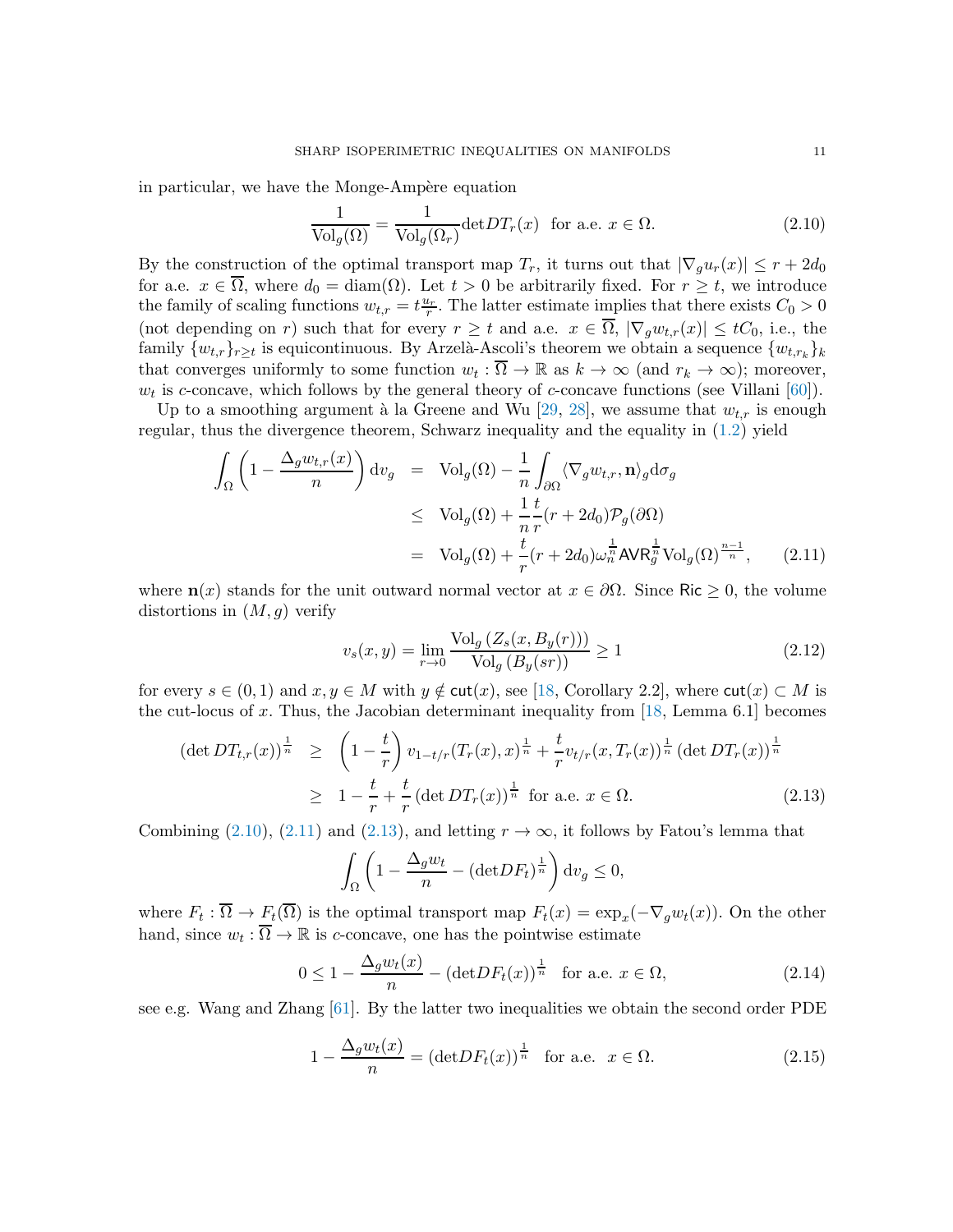in particular, we have the Monge-Ampère equation

<span id="page-10-0"></span>
$$
\frac{1}{\text{Vol}_g(\Omega)} = \frac{1}{\text{Vol}_g(\Omega_r)} \text{det} DT_r(x) \quad \text{for a.e. } x \in \Omega.
$$
 (2.10)

By the construction of the optimal transport map  $T_r$ , it turns out that  $|\nabla_q u_r(x)| \leq r + 2d_0$ for a.e.  $x \in \overline{\Omega}$ , where  $d_0 = \text{diam}(\Omega)$ . Let  $t > 0$  be arbitrarily fixed. For  $r \geq t$ , we introduce the family of scaling functions  $w_{t,r} = t \frac{u_r}{r}$ . The latter estimate implies that there exists  $C_0 > 0$ (not depending on r) such that for every  $r \geq t$  and a.e.  $x \in \overline{\Omega}$ ,  $|\nabla_g w_{t,r}(x)| \leq tC_0$ , i.e., the family  $\{w_{t,r}\}_{r\geq t}$  is equicontinuous. By Arzelà-Ascoli's theorem we obtain a sequence  $\{w_{t,r_k}\}_k$ that converges uniformly to some function  $w_t : \overline{\Omega} \to \mathbb{R}$  as  $k \to \infty$  (and  $r_k \to \infty$ ); moreover,  $w_t$  is c-concave, which follows by the general theory of c-concave functions (see Villani [\[60\]](#page-22-2)).

Up to a smoothing argument à la Greene and Wu [\[29,](#page-21-16) [28\]](#page-21-17), we assume that  $w_{t,r}$  is enough regular, thus the divergence theorem, Schwarz inequality and the equality in [\(1.2\)](#page-2-0) yield

<span id="page-10-1"></span>
$$
\int_{\Omega} \left( 1 - \frac{\Delta_g w_{t,r}(x)}{n} \right) dv_g = \text{Vol}_g(\Omega) - \frac{1}{n} \int_{\partial \Omega} \langle \nabla_g w_{t,r}, \mathbf{n} \rangle_g d\sigma_g
$$
\n
$$
\leq \text{Vol}_g(\Omega) + \frac{1}{n} \frac{t}{r} (r + 2d_0) \mathcal{P}_g(\partial \Omega)
$$
\n
$$
= \text{Vol}_g(\Omega) + \frac{t}{r} (r + 2d_0) \omega_n^{\frac{1}{n}} \text{AVR}_g^{\frac{1}{n}} \text{Vol}_g(\Omega)^{\frac{n-1}{n}}, \quad (2.11)
$$

where  $\mathbf{n}(x)$  stands for the unit outward normal vector at  $x \in \partial \Omega$ . Since Ric  $\geq 0$ , the volume distortions in  $(M, q)$  verify

<span id="page-10-4"></span>
$$
v_s(x,y) = \lim_{r \to 0} \frac{\text{Vol}_g\left(Z_s(x, B_y(r))\right)}{\text{Vol}_g\left(B_y(sr)\right)} \ge 1\tag{2.12}
$$

for every  $s \in (0,1)$  and  $x, y \in M$  with  $y \notin \text{cut}(x)$ , see [\[18,](#page-20-3) Corollary 2.2], where  $\text{cut}(x) \subset M$  is the cut-locus of x. Thus, the Jacobian determinant inequality from  $[18, \text{Lemma } 6.1]$  becomes

<span id="page-10-2"></span>
$$
(\det DT_{t,r}(x))^{\frac{1}{n}} \geq \left(1 - \frac{t}{r}\right) v_{1-t/r}(T_r(x), x)^{\frac{1}{n}} + \frac{t}{r} v_{t/r}(x, T_r(x))^{\frac{1}{n}} (\det DT_r(x))^{\frac{1}{n}}
$$
  
 
$$
\geq 1 - \frac{t}{r} + \frac{t}{r} (\det DT_r(x))^{\frac{1}{n}} \text{ for a.e. } x \in \Omega.
$$
 (2.13)

Combining [\(2.10\)](#page-10-0), [\(2.11\)](#page-10-1) and [\(2.13\)](#page-10-2), and letting  $r \to \infty$ , it follows by Fatou's lemma that

$$
\int_{\Omega} \left(1 - \frac{\Delta_g w_t}{n} - (\text{det} DF_t)^{\frac{1}{n}}\right) \mathrm{d} v_g \le 0,
$$

where  $F_t: \Omega \to F_t(\Omega)$  is the optimal transport map  $F_t(x) = \exp_x(-\nabla_g w_t(x))$ . On the other hand, since  $w_t : \overline{\Omega} \to \mathbb{R}$  is c-concave, one has the pointwise estimate

<span id="page-10-5"></span>
$$
0 \le 1 - \frac{\Delta_g w_t(x)}{n} - (\det DF_t(x))^{\frac{1}{n}} \quad \text{for a.e. } x \in \Omega,
$$
\n(2.14)

see e.g. Wang and Zhang [\[61\]](#page-22-10). By the latter two inequalities we obtain the second order PDE

<span id="page-10-3"></span>
$$
1 - \frac{\Delta_g w_t(x)}{n} = (\det DF_t(x))^{\frac{1}{n}} \quad \text{for a.e.} \quad x \in \Omega. \tag{2.15}
$$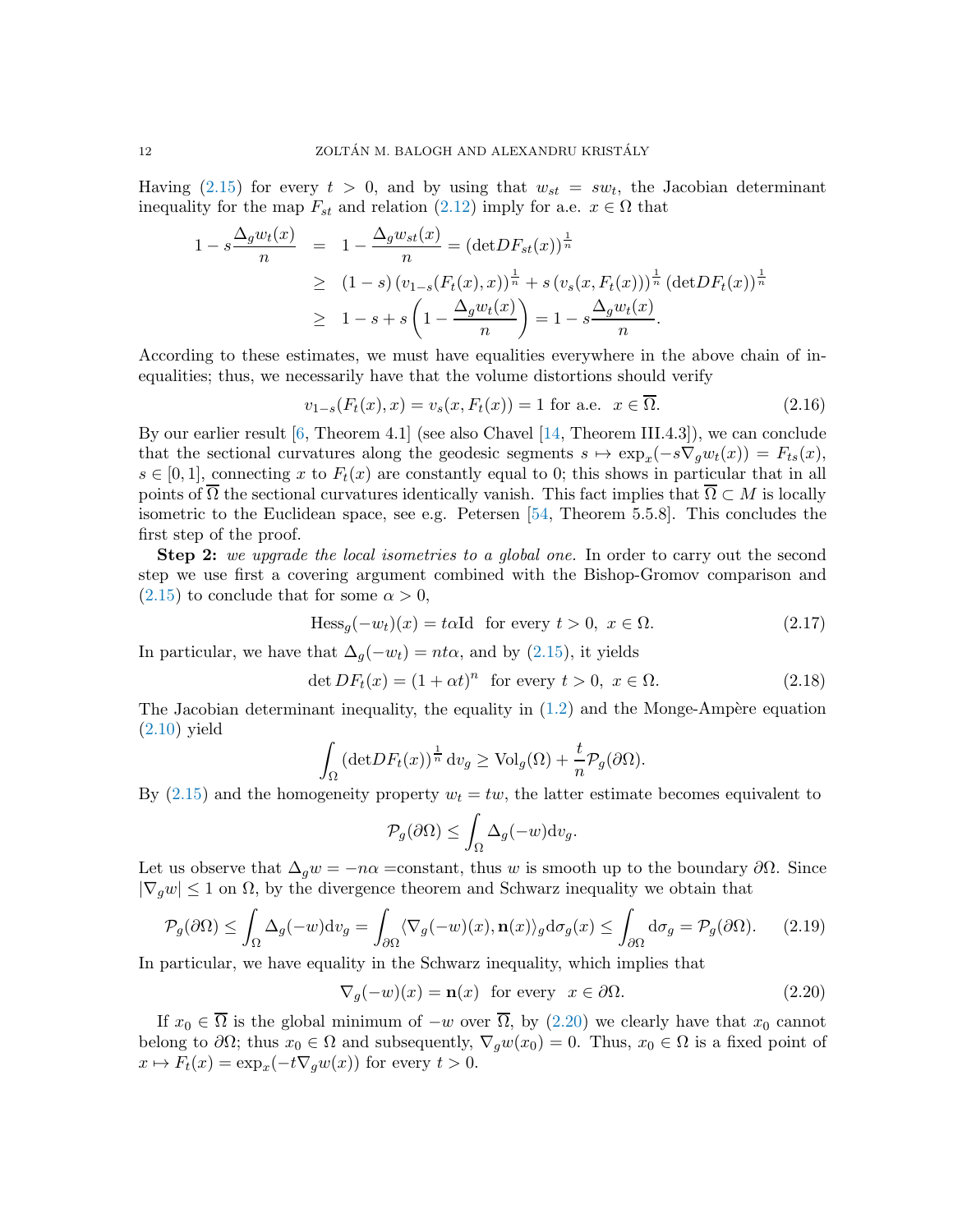Having  $(2.15)$  for every  $t > 0$ , and by using that  $w_{st} = sw_t$ , the Jacobian determinant inequality for the map  $F_{st}$  and relation [\(2.12\)](#page-10-4) imply for a.e.  $x \in \Omega$  that

$$
1 - s \frac{\Delta_g w_t(x)}{n} = 1 - \frac{\Delta_g w_{st}(x)}{n} = (\det DF_{st}(x))^{\frac{1}{n}}
$$
  
\n
$$
\geq (1 - s) (v_{1-s}(F_t(x), x))^{\frac{1}{n}} + s (v_s(x, F_t(x)))^{\frac{1}{n}} (\det DF_t(x))^{\frac{1}{n}}
$$
  
\n
$$
\geq 1 - s + s \left(1 - \frac{\Delta_g w_t(x)}{n}\right) = 1 - s \frac{\Delta_g w_t(x)}{n}.
$$

According to these estimates, we must have equalities everywhere in the above chain of inequalities; thus, we necessarily have that the volume distortions should verify

$$
v_{1-s}(F_t(x), x) = v_s(x, F_t(x)) = 1 \text{ for a.e. } x \in \overline{\Omega}.
$$
 (2.16)

By our earlier result [\[6,](#page-20-13) Theorem 4.1] (see also Chavel [\[14,](#page-20-14) Theorem III.4.3]), we can conclude that the sectional curvatures along the geodesic segments  $s \mapsto \exp_x(-s\nabla_g w_t(x)) = F_{ts}(x)$ ,  $s \in [0,1]$ , connecting x to  $F_t(x)$  are constantly equal to 0; this shows in particular that in all points of  $\Omega$  the sectional curvatures identically vanish. This fact implies that  $\Omega \subset M$  is locally isometric to the Euclidean space, see e.g. Petersen [\[54,](#page-22-11) Theorem 5.5.8]. This concludes the first step of the proof.

Step 2: we upgrade the local isometries to a global one. In order to carry out the second step we use first a covering argument combined with the Bishop-Gromov comparison and  $(2.15)$  to conclude that for some  $\alpha > 0$ ,

<span id="page-11-2"></span>
$$
\text{Hess}_{g}(-w_{t})(x) = t\alpha \text{Id} \quad \text{for every } t > 0, \ x \in \Omega. \tag{2.17}
$$

In particular, we have that  $\Delta_q(-w_t) = nt\alpha$ , and by [\(2.15\)](#page-10-3), it yields

<span id="page-11-1"></span>
$$
\det DF_t(x) = (1 + \alpha t)^n \text{ for every } t > 0, x \in \Omega.
$$
 (2.18)

The Jacobian determinant inequality, the equality in  $(1.2)$  and the Monge-Ampère equation [\(2.10\)](#page-10-0) yield

$$
\int_{\Omega} (\det DF_t(x))^{\frac{1}{n}} \, \mathrm{d}v_g \ge \text{Vol}_g(\Omega) + \frac{t}{n} \mathcal{P}_g(\partial \Omega).
$$

By  $(2.15)$  and the homogeneity property  $w_t = tw$ , the latter estimate becomes equivalent to

$$
\mathcal{P}_g(\partial\Omega) \le \int_{\Omega} \Delta_g(-w) \mathrm{d}v_g.
$$

Let us observe that  $\Delta_q w = -n\alpha$  =constant, thus w is smooth up to the boundary  $\partial\Omega$ . Since  $|\nabla_q w| \leq 1$  on  $\Omega$ , by the divergence theorem and Schwarz inequality we obtain that

$$
\mathcal{P}_g(\partial \Omega) \le \int_{\Omega} \Delta_g(-w) \mathrm{d}v_g = \int_{\partial \Omega} \langle \nabla_g(-w)(x), \mathbf{n}(x) \rangle_g \mathrm{d}\sigma_g(x) \le \int_{\partial \Omega} \mathrm{d}\sigma_g = \mathcal{P}_g(\partial \Omega). \tag{2.19}
$$

In particular, we have equality in the Schwarz inequality, which implies that

<span id="page-11-0"></span>
$$
\nabla_g(-w)(x) = \mathbf{n}(x) \text{ for every } x \in \partial\Omega. \tag{2.20}
$$

If  $x_0 \in \overline{\Omega}$  is the global minimum of  $-w$  over  $\overline{\Omega}$ , by [\(2.20\)](#page-11-0) we clearly have that  $x_0$  cannot belong to  $\partial\Omega$ ; thus  $x_0 \in \Omega$  and subsequently,  $\nabla_q w(x_0) = 0$ . Thus,  $x_0 \in \Omega$  is a fixed point of  $x \mapsto F_t(x) = \exp_x(-t\nabla_g w(x))$  for every  $t > 0$ .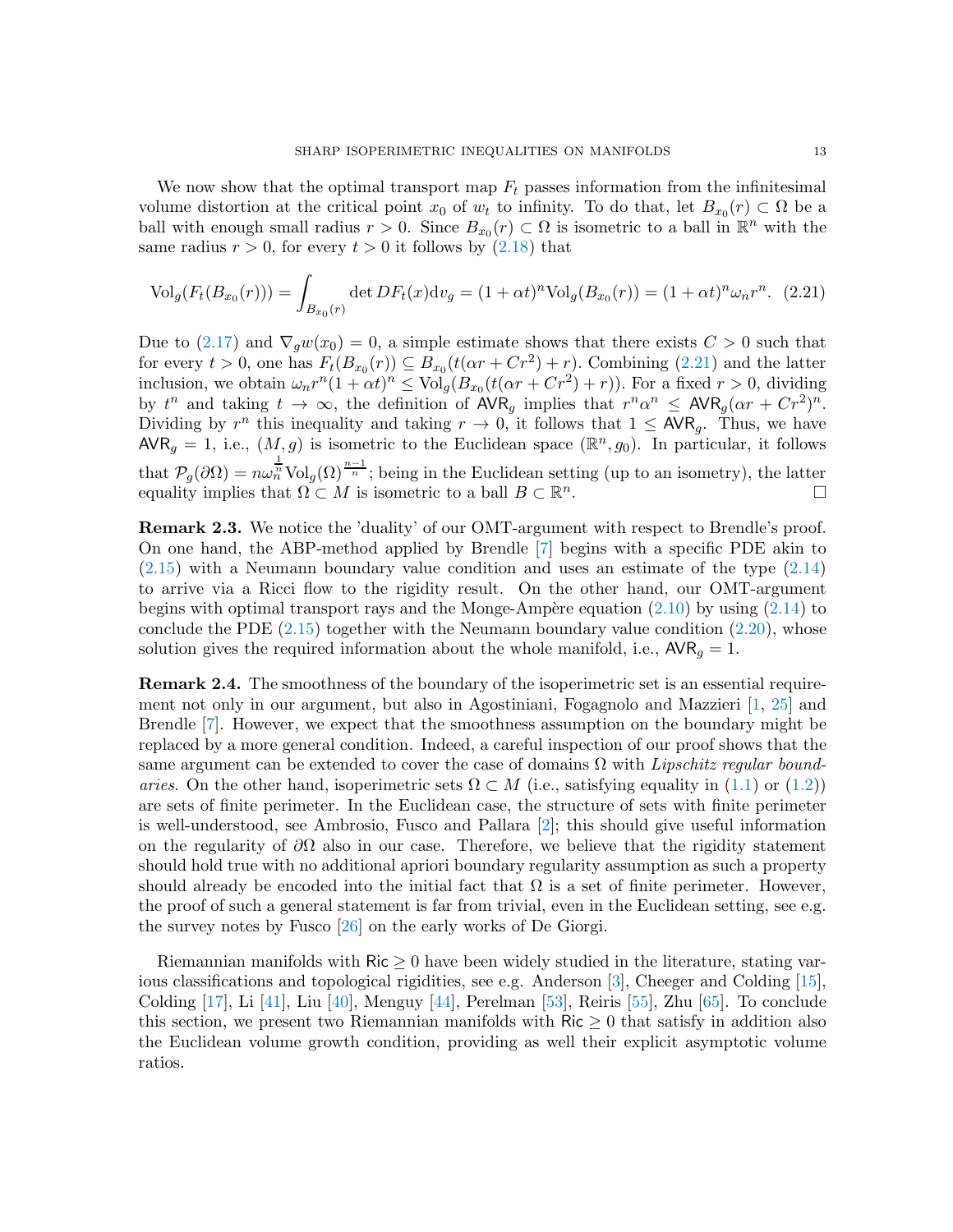We now show that the optimal transport map  $F_t$  passes information from the infinitesimal volume distortion at the critical point  $x_0$  of  $w_t$  to infinity. To do that, let  $B_{x_0}(r) \subset \Omega$  be a ball with enough small radius  $r > 0$ . Since  $B_{x_0}(r) \subset \Omega$  is isometric to a ball in  $\mathbb{R}^n$  with the same radius  $r > 0$ , for every  $t > 0$  it follows by  $(2.18)$  that

<span id="page-12-0"></span>
$$
\text{Vol}_g(F_t(B_{x_0}(r))) = \int_{B_{x_0}(r)} \det DF_t(x) \, \mathrm{d}v_g = (1 + \alpha t)^n \text{Vol}_g(B_{x_0}(r)) = (1 + \alpha t)^n \omega_n r^n. \tag{2.21}
$$

Due to [\(2.17\)](#page-11-2) and  $\nabla_{g}w(x_0)=0$ , a simple estimate shows that there exists  $C>0$  such that for every  $t > 0$ , one has  $F_t(B_{x_0}(r)) \subseteq B_{x_0}(t(\alpha r + Cr^2) + r)$ . Combining [\(2.21\)](#page-12-0) and the latter inclusion, we obtain  $\omega_n r^n (1 + \alpha t)^n \leq \text{Vol}_g(B_{x_0}(t(\alpha r + Cr^2) + r))$ . For a fixed  $r > 0$ , dividing by  $t^n$  and taking  $t \to \infty$ , the definition of  $\text{AVR}_g$  implies that  $r^n \alpha^n \leq \text{AVR}_g(\alpha r + Cr^2)^n$ . Dividing by  $r^n$  this inequality and taking  $r \to 0$ , it follows that  $1 \leq \text{AVR}_g$ . Thus, we have  $\mathsf{AVR}_g = 1$ , i.e.,  $(M, g)$  is isometric to the Euclidean space  $(\mathbb{R}^n, g_0)$ . In particular, it follows that  $\mathcal{P}_{g}(\partial\Omega) = n\omega_n^{\frac{1}{n}} \text{Vol}_g(\Omega)^{\frac{n-1}{n}}$ ; being in the Euclidean setting (up to an isometry), the latter equality implies that  $\Omega \subset M$  is isometric to a ball  $B \subset \mathbb{R}^n$ .

Remark 2.3. We notice the 'duality' of our OMT-argument with respect to Brendle's proof. On one hand, the ABP-method applied by Brendle [\[7\]](#page-20-5) begins with a specific PDE akin to [\(2.15\)](#page-10-3) with a Neumann boundary value condition and uses an estimate of the type [\(2.14\)](#page-10-5) to arrive via a Ricci flow to the rigidity result. On the other hand, our OMT-argument begins with optimal transport rays and the Monge-Ampère equation  $(2.10)$  by using  $(2.14)$  to conclude the PDE  $(2.15)$  together with the Neumann boundary value condition  $(2.20)$ , whose solution gives the required information about the whole manifold, i.e.,  $AVR<sub>q</sub> = 1$ .

Remark 2.4. The smoothness of the boundary of the isoperimetric set is an essential requirement not only in our argument, but also in Agostiniani, Fogagnolo and Mazzieri [\[1,](#page-20-12) [25\]](#page-21-11) and Brendle [\[7\]](#page-20-5). However, we expect that the smoothness assumption on the boundary might be replaced by a more general condition. Indeed, a careful inspection of our proof shows that the same argument can be extended to cover the case of domains  $\Omega$  with Lipschitz regular boundaries. On the other hand, isoperimetric sets  $\Omega \subset M$  (i.e., satisfying equality in [\(1.1\)](#page-1-0) or [\(1.2\)](#page-2-0)) are sets of finite perimeter. In the Euclidean case, the structure of sets with finite perimeter is well-understood, see Ambrosio, Fusco and Pallara [\[2\]](#page-20-15); this should give useful information on the regularity of  $\partial\Omega$  also in our case. Therefore, we believe that the rigidity statement should hold true with no additional apriori boundary regularity assumption as such a property should already be encoded into the initial fact that  $\Omega$  is a set of finite perimeter. However, the proof of such a general statement is far from trivial, even in the Euclidean setting, see e.g. the survey notes by Fusco [\[26\]](#page-21-18) on the early works of De Giorgi.

Riemannian manifolds with  $\text{Ric} \geq 0$  have been widely studied in the literature, stating various classifications and topological rigidities, see e.g. Anderson [\[3\]](#page-20-16), Cheeger and Colding [\[15\]](#page-20-17), Colding [\[17\]](#page-20-18), Li [\[41\]](#page-21-19), Liu [\[40\]](#page-21-20), Menguy [\[44\]](#page-21-21), Perelman [\[53\]](#page-22-12), Reiris [\[55\]](#page-22-13), Zhu [\[65\]](#page-22-14). To conclude this section, we present two Riemannian manifolds with  $\text{Ric} \geq 0$  that satisfy in addition also the Euclidean volume growth condition, providing as well their explicit asymptotic volume ratios.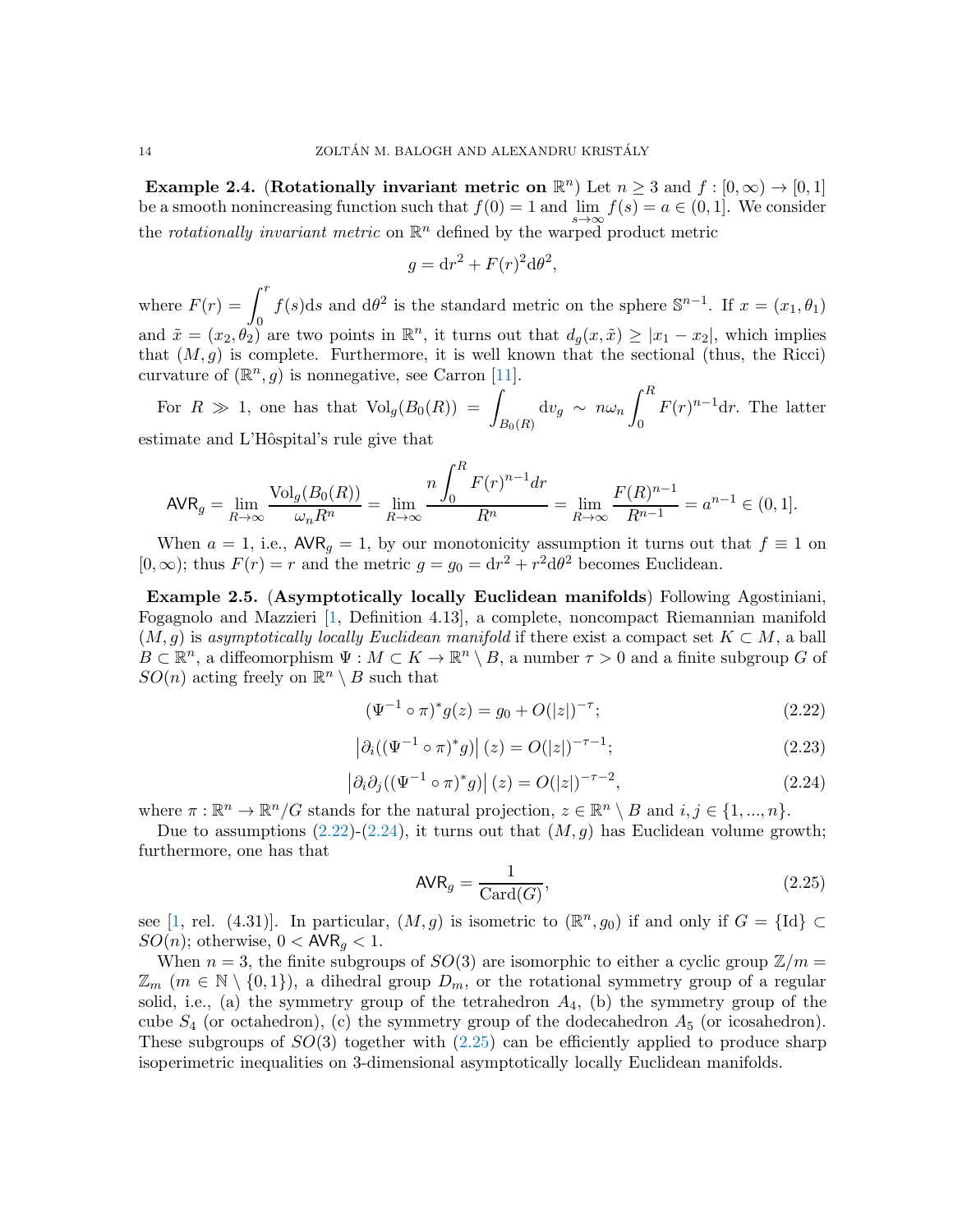Example 2.4. (Rotationally invariant metric on  $\mathbb{R}^n$ ) Let  $n \geq 3$  and  $f : [0, \infty) \to [0, 1]$ be a smooth nonincreasing function such that  $f(0) = 1$  and  $\lim_{s \to \infty} f(s) = a \in (0, 1]$ . We consider the rotationally invariant metric on  $\mathbb{R}^n$  defined by the warped product metric

$$
g = dr^2 + F(r)^2 d\theta^2,
$$

where  $F(r) = \int_0^r f(s)ds$  and  $d\theta^2$  is the standard metric on the sphere  $\mathbb{S}^{n-1}$ . If  $x = (x_1, \theta_1)$ and  $\tilde{x} = (x_2, \theta_2)$  are two points in  $\mathbb{R}^n$ , it turns out that  $d_g(x, \tilde{x}) \ge |x_1 - x_2|$ , which implies that  $(M, g)$  is complete. Furthermore, it is well known that the sectional (thus, the Ricci) curvature of  $(\mathbb{R}^n, g)$  is nonnegative, see Carron [\[11\]](#page-20-19).

For  $R \gg 1$ , one has that  $Vol_g(B_0(R)) = \sqrt{Z}$  $B_0(R)$  $\mathrm{d} v_g \, \sim \, n \omega_n \, \int^R$  $\boldsymbol{0}$  $F(r)^{n-1}$ dr. The latter estimate and L'Hôspital's rule give that

$$
\text{AVR}_g = \lim_{R \to \infty} \frac{\text{Vol}_g(B_0(R))}{\omega_n R^n} = \lim_{R \to \infty} \frac{n \int_0^R F(r)^{n-1} dr}{R^n} = \lim_{R \to \infty} \frac{F(R)^{n-1}}{R^{n-1}} = a^{n-1} \in (0, 1].
$$

When  $a = 1$ , i.e.,  $\mathsf{AVR}_g = 1$ , by our monotonicity assumption it turns out that  $f \equiv 1$  on  $[0, \infty)$ ; thus  $F(r) = r$  and the metric  $g = g_0 = dr^2 + r^2 d\theta^2$  becomes Euclidean.

Example 2.5. (Asymptotically locally Euclidean manifolds) Following Agostiniani, Fogagnolo and Mazzieri [\[1,](#page-20-12) Definition 4.13], a complete, noncompact Riemannian manifold  $(M, g)$  is asymptotically locally Euclidean manifold if there exist a compact set  $K \subset M$ , a ball  $B \subset \mathbb{R}^n$ , a diffeomorphism  $\Psi : M \subset K \to \mathbb{R}^n \setminus B$ , a number  $\tau > 0$  and a finite subgroup G of  $SO(n)$  acting freely on  $\mathbb{R}^n \setminus B$  such that

<span id="page-13-0"></span>
$$
(\Psi^{-1} \circ \pi)^* g(z) = g_0 + O(|z|)^{-\tau};\tag{2.22}
$$

$$
\left|\partial_i((\Psi^{-1} \circ \pi)^* g)\right|(z) = O(|z|)^{-\tau - 1};\tag{2.23}
$$

<span id="page-13-1"></span>
$$
\left|\partial_i\partial_j((\Psi^{-1}\circ\pi)^*g)\right|(z) = O(|z|)^{-\tau-2},\tag{2.24}
$$

where  $\pi : \mathbb{R}^n \to \mathbb{R}^n/G$  stands for the natural projection,  $z \in \mathbb{R}^n \setminus B$  and  $i, j \in \{1, ..., n\}$ .

Due to assumptions  $(2.22)-(2.24)$  $(2.22)-(2.24)$ , it turns out that  $(M, q)$  has Euclidean volume growth; furthermore, one has that

<span id="page-13-2"></span>
$$
\text{AVR}_g = \frac{1}{\text{Card}(G)},\tag{2.25}
$$

see [\[1,](#page-20-12) rel. (4.31)]. In particular,  $(M, g)$  is isometric to  $(\mathbb{R}^n, g_0)$  if and only if  $G = \{Id\} \subset$  $SO(n)$ ; otherwise,  $0 < \text{AVR}_q < 1$ .

When  $n = 3$ , the finite subgroups of  $SO(3)$  are isomorphic to either a cyclic group  $\mathbb{Z}/m =$  $\mathbb{Z}_m$  (m  $\in \mathbb{N} \setminus \{0,1\}$ ), a dihedral group  $D_m$ , or the rotational symmetry group of a regular solid, i.e., (a) the symmetry group of the tetrahedron  $A_4$ , (b) the symmetry group of the cube  $S_4$  (or octahedron), (c) the symmetry group of the dodecahedron  $A_5$  (or icosahedron). These subgroups of  $SO(3)$  together with  $(2.25)$  can be efficiently applied to produce sharp isoperimetric inequalities on 3-dimensional asymptotically locally Euclidean manifolds.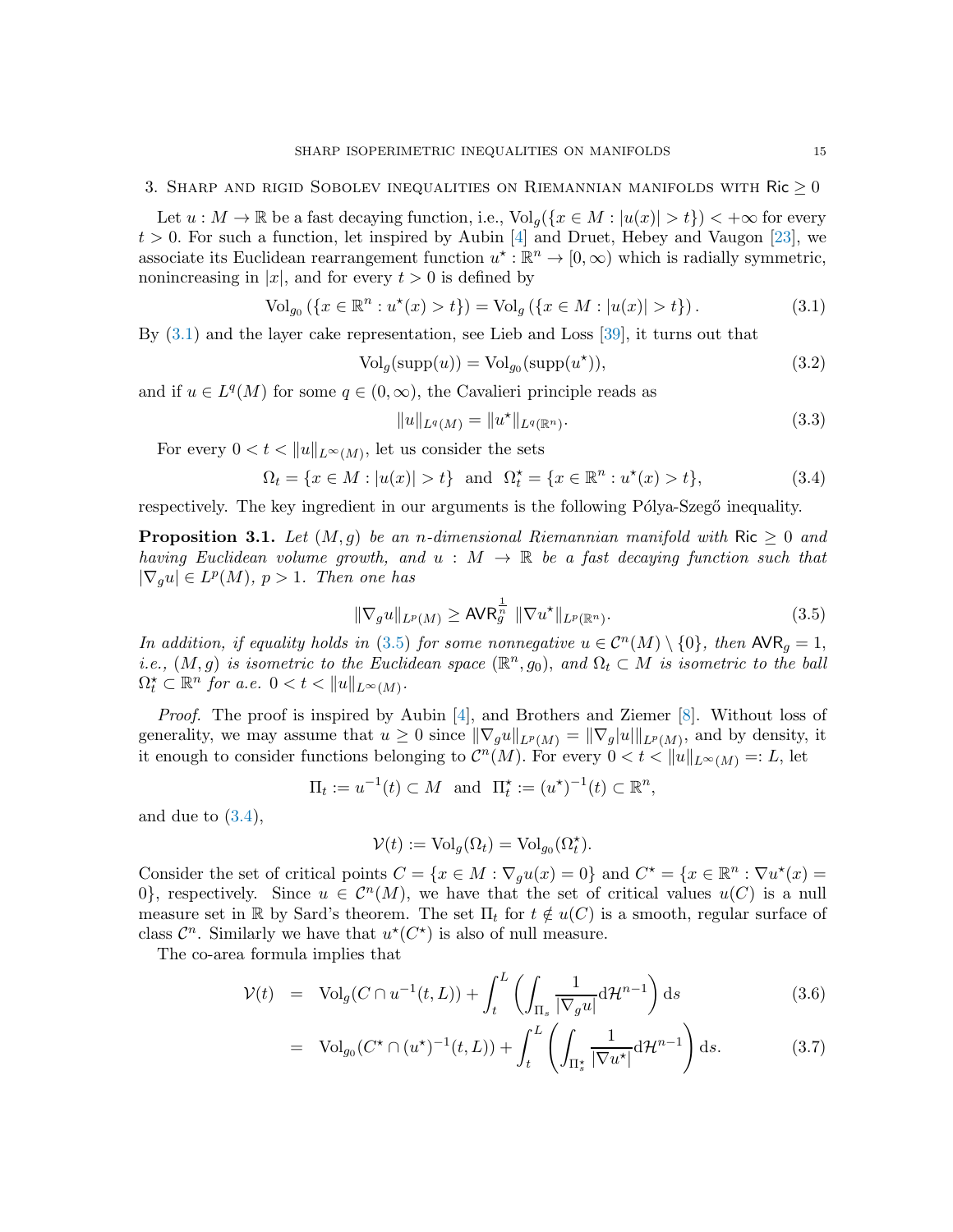<span id="page-14-1"></span>Let  $u : M \to \mathbb{R}$  be a fast decaying function, i.e.,  $\text{Vol}_q(\{x \in M : |u(x)| > t\}) < +\infty$  for every  $t > 0$ . For such a function, let inspired by Aubin [\[4\]](#page-20-6) and Druet, Hebey and Vaugon [\[23\]](#page-21-22), we associate its Euclidean rearrangement function  $u^* : \mathbb{R}^n \to [0, \infty)$  which is radially symmetric, nonincreasing in |x|, and for every  $t > 0$  is defined by

<span id="page-14-2"></span>
$$
\text{Vol}_{g_0}(\{x \in \mathbb{R}^n : u^*(x) > t\}) = \text{Vol}_g(\{x \in M : |u(x)| > t\}).\tag{3.1}
$$

By [\(3.1\)](#page-14-2) and the layer cake representation, see Lieb and Loss [\[39\]](#page-21-0), it turns out that

<span id="page-14-7"></span>
$$
Volg(supp(u)) = Volg0(supp(u\star)),
$$
\n(3.2)

and if  $u \in L^q(M)$  for some  $q \in (0, \infty)$ , the Cavalieri principle reads as

<span id="page-14-6"></span>
$$
||u||_{L^{q}(M)} = ||u^*||_{L^{q}(\mathbb{R}^n)}.
$$
\n(3.3)

For every  $0 < t < ||u||_{L^{\infty}(M)}$ , let us consider the sets

<span id="page-14-4"></span>
$$
\Omega_t = \{ x \in M : |u(x)| > t \} \text{ and } \Omega_t^{\star} = \{ x \in \mathbb{R}^n : u^{\star}(x) > t \},
$$
\n(3.4)

respectively. The key ingredient in our arguments is the following Pólya-Szegő inequality.

<span id="page-14-0"></span>**Proposition 3.1.** Let  $(M, q)$  be an n-dimensional Riemannian manifold with Ric  $\geq 0$  and having Euclidean volume growth, and  $u : M \to \mathbb{R}$  be a fast decaying function such that  $|\nabla_g u| \in L^p(M)$ ,  $p > 1$ . Then one has

<span id="page-14-3"></span>
$$
\|\nabla_g u\|_{L^p(M)} \ge \text{AVR}_g^{\frac{1}{n}} \|\nabla u^\star\|_{L^p(\mathbb{R}^n)}.
$$
\n(3.5)

In addition, if equality holds in [\(3.5\)](#page-14-3) for some nonnegative  $u \in C^{n}(M) \setminus \{0\}$ , then  $\mathsf{AVR}_g = 1$ , i.e.,  $(M, g)$  is isometric to the Euclidean space  $(\mathbb{R}^n, g_0)$ , and  $\Omega_t \subset M$  is isometric to the ball  $\Omega_t^{\star} \subset \mathbb{R}^n$  for a.e.  $0 < t < ||u||_{L^{\infty}(M)}$ .

Proof. The proof is inspired by Aubin [\[4\]](#page-20-6), and Brothers and Ziemer [\[8\]](#page-20-20). Without loss of generality, we may assume that  $u \geq 0$  since  $\|\nabla_g u\|_{L^p(M)} = \|\nabla_g |u\|_{L^p(M)}$ , and by density, it it enough to consider functions belonging to  $\mathcal{C}^n(M)$ . For every  $0 < t < ||u||_{L^{\infty}(M)} =: L$ , let

$$
\Pi_t := u^{-1}(t) \subset M \text{ and } \Pi_t^{\star} := (u^{\star})^{-1}(t) \subset \mathbb{R}^n,
$$

and due to  $(3.4)$ ,

$$
\mathcal{V}(t) := \text{Vol}_g(\Omega_t) = \text{Vol}_{g_0}(\Omega_t^{\star}).
$$

Consider the set of critical points  $C = \{x \in M : \nabla_g u(x) = 0\}$  and  $C^* = \{x \in \mathbb{R}^n : \nabla u^*(x) = 0\}$ 0, respectively. Since  $u \in \mathcal{C}^n(M)$ , we have that the set of critical values  $u(C)$  is a null measure set in R by Sard's theorem. The set  $\Pi_t$  for  $t \notin u(C)$  is a smooth, regular surface of class  $\mathcal{C}^n$ . Similarly we have that  $u^*(C^*)$  is also of null measure.

The co-area formula implies that

<span id="page-14-5"></span>
$$
\mathcal{V}(t) = \text{Vol}_g(C \cap u^{-1}(t, L)) + \int_t^L \left( \int_{\Pi_s} \frac{1}{|\nabla_g u|} d\mathcal{H}^{n-1} \right) ds \tag{3.6}
$$

$$
= \text{Vol}_{g_0}(C^* \cap (u^*)^{-1}(t,L)) + \int_t^L \left( \int_{\Pi_s^*} \frac{1}{|\nabla u^*|} \mathrm{d} \mathcal{H}^{n-1} \right) \mathrm{d} s. \tag{3.7}
$$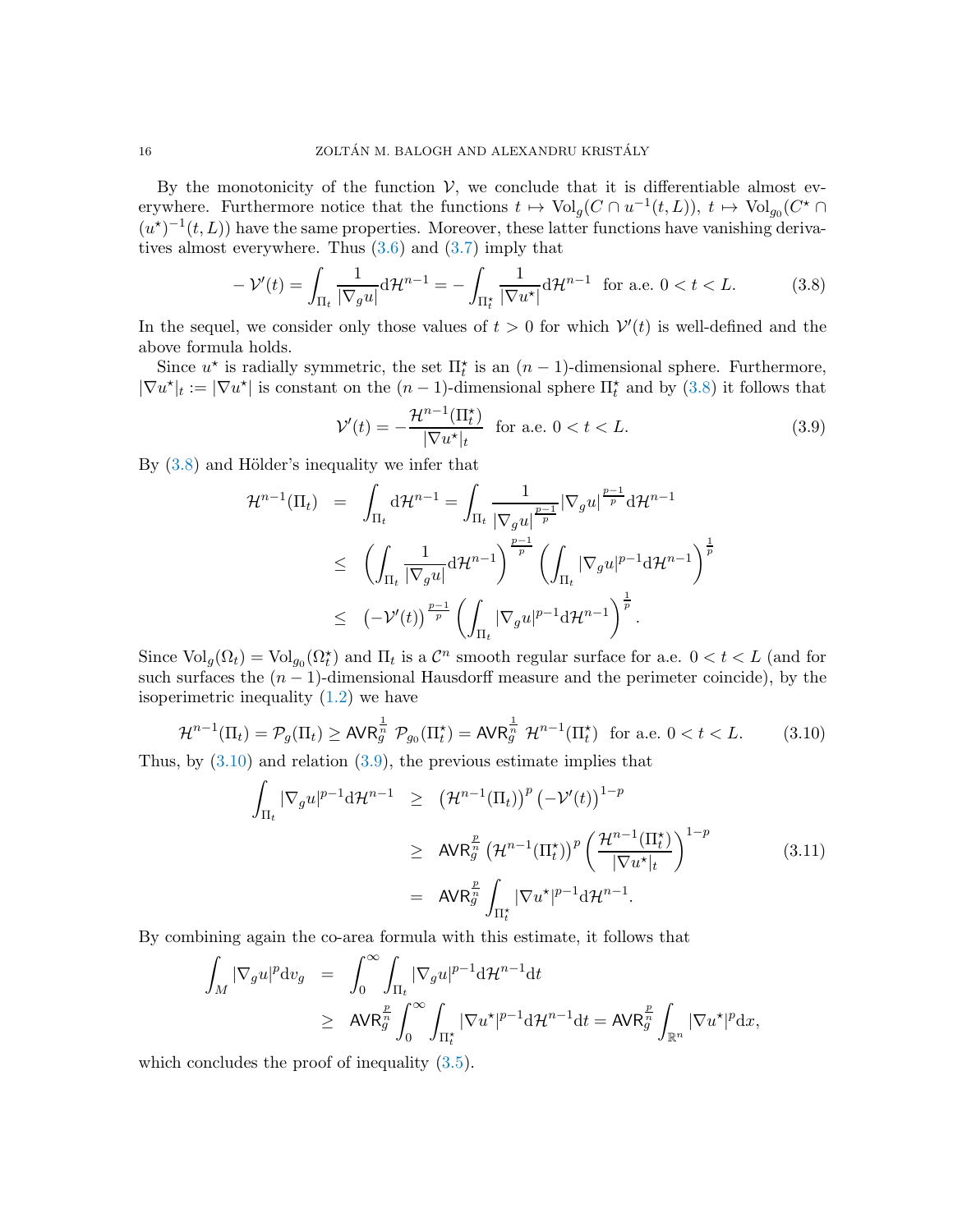By the monotonicity of the function  $V$ , we conclude that it is differentiable almost everywhere. Furthermore notice that the functions  $t \mapsto \text{Vol}_g(C \cap u^{-1}(t,L))$ ,  $t \mapsto \text{Vol}_{g_0}(C^* \cap$  $(u^*)^{-1}(t,L)$  have the same properties. Moreover, these latter functions have vanishing derivatives almost everywhere. Thus [\(3.6\)](#page-14-5) and [\(3.7\)](#page-14-5) imply that

<span id="page-15-0"></span>
$$
-\mathcal{V}'(t) = \int_{\Pi_t} \frac{1}{|\nabla_g u|} d\mathcal{H}^{n-1} = -\int_{\Pi_t^\star} \frac{1}{|\nabla u^\star|} d\mathcal{H}^{n-1} \text{ for a.e. } 0 < t < L. \tag{3.8}
$$

In the sequel, we consider only those values of  $t > 0$  for which  $V'(t)$  is well-defined and the above formula holds.

Since  $u^*$  is radially symmetric, the set  $\Pi_t^*$  is an  $(n-1)$ -dimensional sphere. Furthermore,  $|\nabla u^*|_t := |\nabla u^*|$  is constant on the  $(n-1)$ -dimensional sphere  $\Pi_t^*$  and by  $(3.8)$  it follows that

<span id="page-15-2"></span>
$$
\mathcal{V}'(t) = -\frac{\mathcal{H}^{n-1}(\Pi_t^*)}{|\nabla u^*|_t} \quad \text{for a.e. } 0 < t < L. \tag{3.9}
$$

By  $(3.8)$  and Hölder's inequality we infer that

$$
\mathcal{H}^{n-1}(\Pi_t) = \int_{\Pi_t} d\mathcal{H}^{n-1} = \int_{\Pi_t} \frac{1}{|\nabla_g u|^{\frac{p-1}{p}}} |\nabla_g u|^{\frac{p-1}{p}} d\mathcal{H}^{n-1}
$$
  
\n
$$
\leq \left( \int_{\Pi_t} \frac{1}{|\nabla_g u|} d\mathcal{H}^{n-1} \right)^{\frac{p-1}{p}} \left( \int_{\Pi_t} |\nabla_g u|^{p-1} d\mathcal{H}^{n-1} \right)^{\frac{1}{p}}
$$
  
\n
$$
\leq \left( -\mathcal{V}'(t) \right)^{\frac{p-1}{p}} \left( \int_{\Pi_t} |\nabla_g u|^{p-1} d\mathcal{H}^{n-1} \right)^{\frac{1}{p}}.
$$

Since  $\text{Vol}_g(\Omega_t) = \text{Vol}_{g_0}(\Omega_t^*)$  and  $\Pi_t$  is a  $\mathcal{C}^n$  smooth regular surface for a.e.  $0 < t < L$  (and for such surfaces the  $(n - 1)$ -dimensional Hausdorff measure and the perimeter coincide), by the isoperimetric inequality [\(1.2\)](#page-2-0) we have

<span id="page-15-1"></span>
$$
\mathcal{H}^{n-1}(\Pi_t) = \mathcal{P}_g(\Pi_t) \ge \text{AVR}_g^{\frac{1}{n}} \mathcal{P}_{g_0}(\Pi_t^{\star}) = \text{AVR}_g^{\frac{1}{n}} \mathcal{H}^{n-1}(\Pi_t^{\star}) \quad \text{for a.e. } 0 < t < L. \tag{3.10}
$$

Thus, by  $(3.10)$  and relation  $(3.9)$ , the previous estimate implies that

$$
\int_{\Pi_t} |\nabla_g u|^{p-1} d\mathcal{H}^{n-1} \geq (\mathcal{H}^{n-1}(\Pi_t))^p \left(-\mathcal{V}'(t)\right)^{1-p}
$$
\n
$$
\geq \mathsf{AVR}_g^{\frac{p}{n}} \left(\mathcal{H}^{n-1}(\Pi_t^{\star})\right)^p \left(\frac{\mathcal{H}^{n-1}(\Pi_t^{\star})}{|\nabla u^{\star}|_t}\right)^{1-p}
$$
\n
$$
= \mathsf{AVR}_g^{\frac{p}{n}} \int_{\Pi_t^{\star}} |\nabla u^{\star}|^{p-1} d\mathcal{H}^{n-1}.
$$
\n(3.11)

By combining again the co-area formula with this estimate, it follows that

$$
\begin{array}{lcl} \displaystyle\int_M|\nabla_g u|^p\mathrm{d}v_g&=&\displaystyle\int_0^\infty\int_{\Pi_t}|\nabla_g u|^{p-1}\mathrm{d}\mathcal{H}^{n-1}\mathrm{d}t\\&\ge&&\displaystyle \mathsf{AVR}^{\frac{p}{n}}_g\int_0^\infty\int_{\Pi_t^\star}|\nabla u^\star|^{p-1}\mathrm{d}\mathcal{H}^{n-1}\mathrm{d}t=\mathsf{AVR}^{\frac{p}{n}}_g\int_{\mathbb{R}^n}|\nabla u^\star|^p\mathrm{d}x,\end{array}
$$

which concludes the proof of inequality  $(3.5)$ .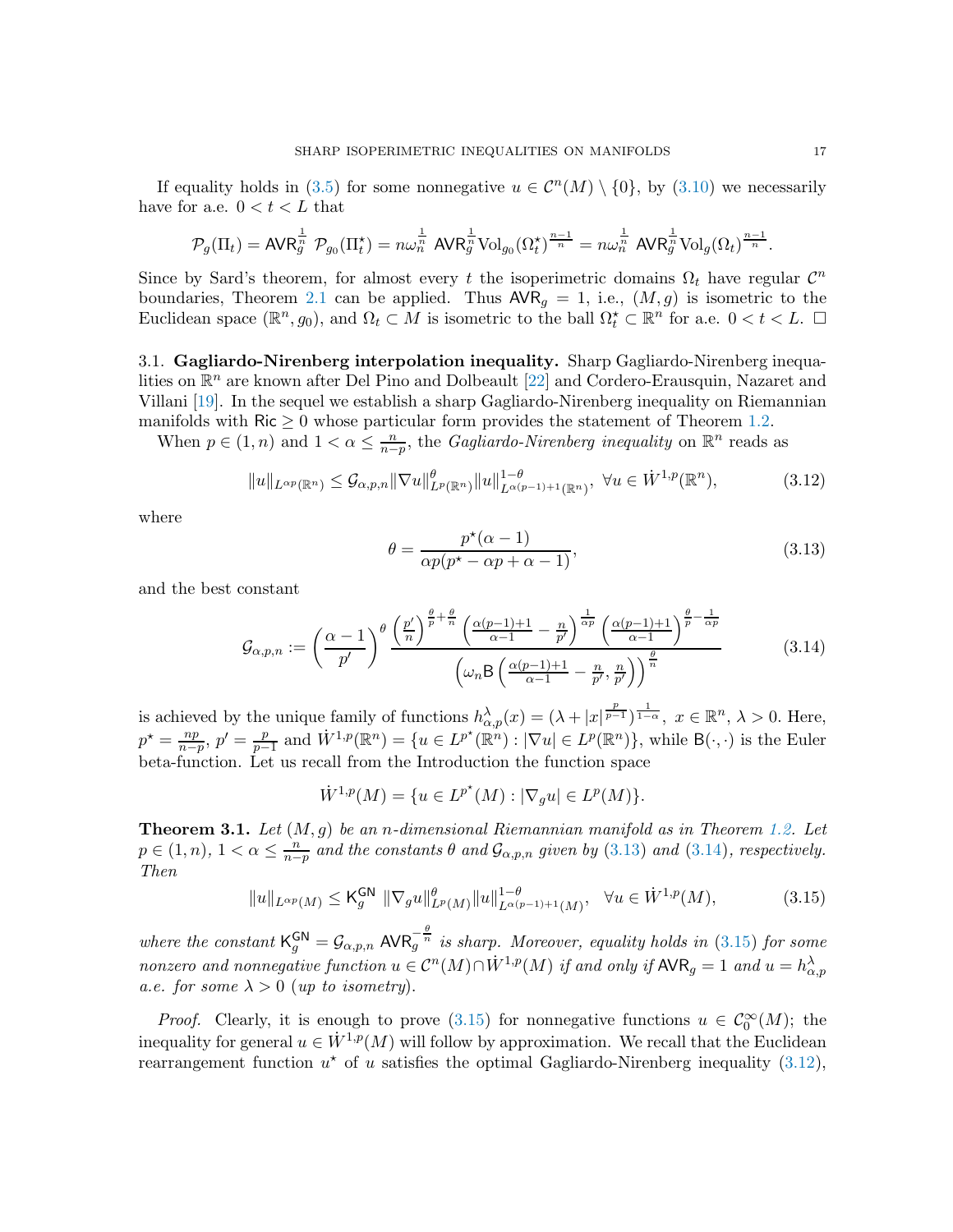If equality holds in [\(3.5\)](#page-14-3) for some nonnegative  $u \in C^{n}(M) \setminus \{0\}$ , by [\(3.10\)](#page-15-1) we necessarily have for a.e.  $0 < t < L$  that

$$
\mathcal{P}_g(\Pi_t) = \text{AVR}_g^{\frac{1}{n}} \; \mathcal{P}_{g_0}(\Pi_t^{\star}) = n\omega_n^{\frac{1}{n}} \; \text{AVR}_g^{\frac{1}{n}} \text{Vol}_{g_0}(\Omega_t^{\star})^{\frac{n-1}{n}} = n\omega_n^{\frac{1}{n}} \; \text{AVR}_g^{\frac{1}{n}} \text{Vol}_g(\Omega_t)^{\frac{n-1}{n}}.
$$

Since by Sard's theorem, for almost every t the isoperimetric domains  $\Omega_t$  have regular  $\mathcal{C}^n$ boundaries, Theorem [2.1](#page-9-1) can be applied. Thus  $\mathsf{AVR}_g = 1$ , i.e.,  $(M, g)$  is isometric to the Euclidean space  $(\mathbb{R}^n, g_0)$ , and  $\Omega_t \subset M$  is isometric to the ball  $\Omega_t^* \subset \mathbb{R}^n$  for a.e.  $0 < t < L$ .  $\Box$ 

<span id="page-16-5"></span>3.1. Gagliardo-Nirenberg interpolation inequality. Sharp Gagliardo-Nirenberg inequalities on  $\mathbb{R}^n$  are known after Del Pino and Dolbeault [\[22\]](#page-20-21) and Cordero-Erausquin, Nazaret and Villani [\[19\]](#page-20-2). In the sequel we establish a sharp Gagliardo-Nirenberg inequality on Riemannian manifolds with  $\text{Ric} \geq 0$  whose particular form provides the statement of Theorem [1.2.](#page-3-2)

When  $p \in (1, n)$  and  $1 < \alpha \leq \frac{n}{n-1}$  $\frac{n}{n-p}$ , the *Gagliardo-Nirenberg inequality* on  $\mathbb{R}^n$  reads as

<span id="page-16-4"></span>
$$
||u||_{L^{\alpha p}(\mathbb{R}^n)} \leq \mathcal{G}_{\alpha,p,n} ||\nabla u||_{L^p(\mathbb{R}^n)}^\theta ||u||_{L^{\alpha(p-1)+1}(\mathbb{R}^n)}^{1-\theta}, \ \forall u \in \dot{W}^{1,p}(\mathbb{R}^n), \tag{3.12}
$$

where

<span id="page-16-1"></span>
$$
\theta = \frac{p^{\star}(\alpha - 1)}{\alpha p(p^{\star} - \alpha p + \alpha - 1)},\tag{3.13}
$$

and the best constant

<span id="page-16-2"></span>
$$
\mathcal{G}_{\alpha,p,n} := \left(\frac{\alpha-1}{p'}\right)^{\theta} \frac{\left(\frac{p'}{n}\right)^{\frac{\theta}{p}+\frac{\theta}{n}} \left(\frac{\alpha(p-1)+1}{\alpha-1}-\frac{n}{p'}\right)^{\frac{1}{\alpha p}} \left(\frac{\alpha(p-1)+1}{\alpha-1}\right)^{\frac{\theta}{p}-\frac{1}{\alpha p}}}{\left(\omega_n \mathsf{B}\left(\frac{\alpha(p-1)+1}{\alpha-1}-\frac{n}{p'},\frac{n}{p'}\right)\right)^{\frac{\theta}{n}}}
$$
(3.14)

is achieved by the unique family of functions  $h_{\alpha,p}^{\lambda}(x) = (\lambda + |x|^{\frac{p}{p-1}})^{\frac{1}{1-\alpha}}, x \in \mathbb{R}^n, \lambda > 0$ . Here,  $p^* = \frac{np}{n-p}$  $\frac{np}{n-p}, p'=\frac{p}{p-p}$  $\frac{p}{p-1}$  and  $\dot{W}^{1,p}(\mathbb{R}^n) = \{u \in L^{p^*}(\mathbb{R}^n) : |\nabla u| \in L^{p}(\mathbb{R}^n)\},\$  while  $\mathsf{B}(\cdot,\cdot)$  is the Euler beta-function. Let us recall from the Introduction the function space

$$
\dot{W}^{1,p}(M) = \{ u \in L^{p^*}(M) : |\nabla_g u| \in L^p(M) \}.
$$

<span id="page-16-0"></span>**Theorem 3.1.** Let  $(M, g)$  be an n-dimensional Riemannian manifold as in Theorem [1.2.](#page-3-2) Let  $p \in (1, n), 1 < \alpha \leq \frac{n}{n-1}$  $\frac{n}{n-p}$  and the constants  $\theta$  and  $\mathcal{G}_{\alpha,p,n}$  given by  $(3.13)$  and  $(3.14)$ , respectively. Then

<span id="page-16-3"></span>
$$
||u||_{L^{\alpha p}(M)} \leq \mathsf{K}_g^{\mathsf{GN}} \, ||\nabla_g u||_{L^p(M)}^{\theta} ||u||_{L^{\alpha(p-1)+1}(M)}^{1-\theta}, \quad \forall u \in \dot{W}^{1,p}(M), \tag{3.15}
$$

where the constant  $\mathsf{K}_g^{\mathsf{GN}} = \mathcal{G}_{\alpha,p,n} \mathsf{AVR}_g^{-\frac{\theta}{n}}$  is sharp. Moreover, equality holds in [\(3.15\)](#page-16-3) for some nonzero and nonnegative function  $u \in C^{n}(M) \cap \dot{W}^{1,p}(M)$  if and only if  $\mathsf{AVR}_g = 1$  and  $u = h_{\alpha,p}^{\lambda}$ a.e. for some  $\lambda > 0$  (up to isometry).

*Proof.* Clearly, it is enough to prove [\(3.15\)](#page-16-3) for nonnegative functions  $u \in C_0^{\infty}(M)$ ; the inequality for general  $u \in \dot{W}^{1,p}(M)$  will follow by approximation. We recall that the Euclidean rearrangement function  $u^*$  of u satisfies the optimal Gagliardo-Nirenberg inequality [\(3.12\)](#page-16-4),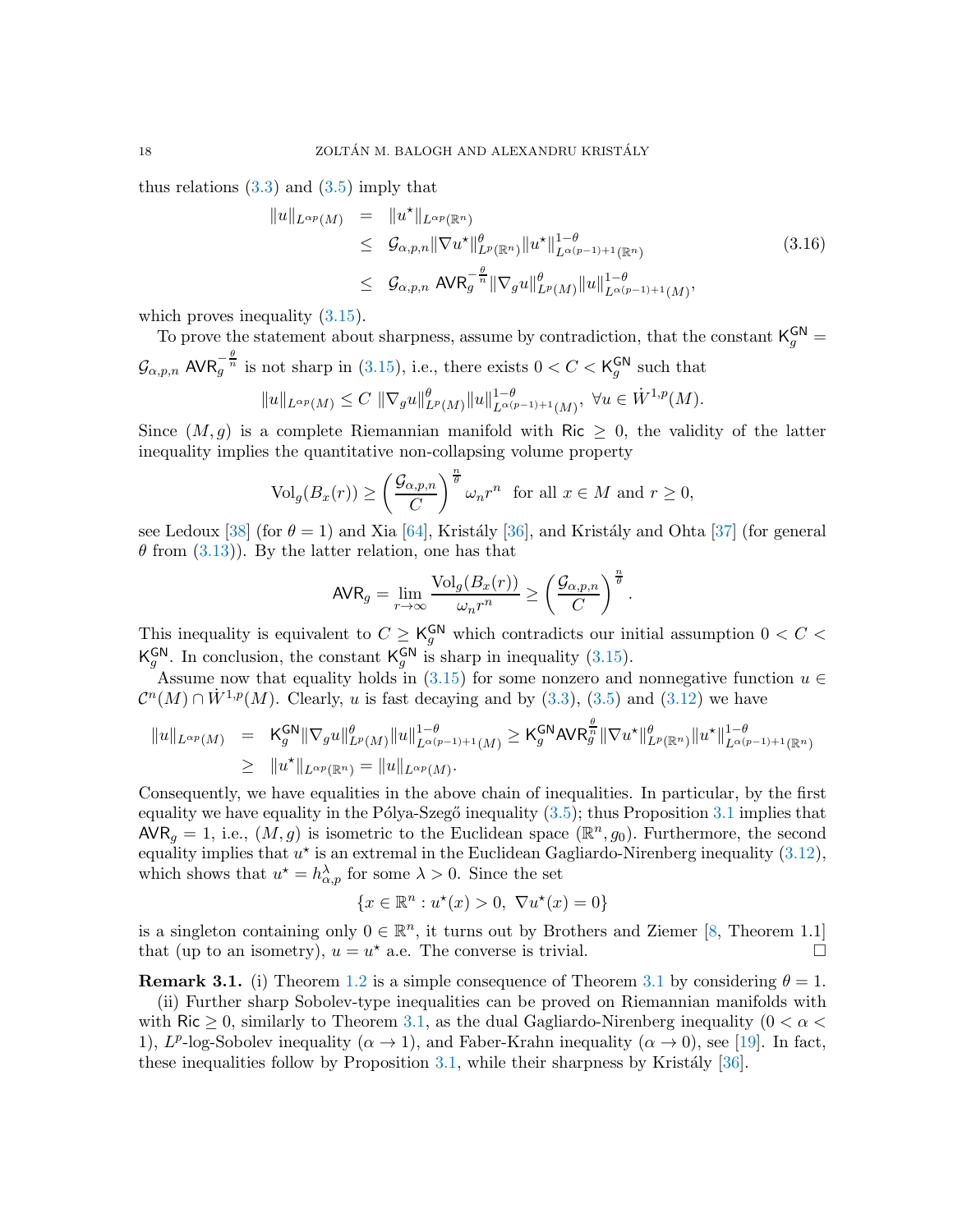thus relations  $(3.3)$  and  $(3.5)$  imply that

$$
\|u\|_{L^{\alpha p}(M)} = \|u^{\star}\|_{L^{\alpha p}(\mathbb{R}^{n})}
$$
  
\n
$$
\leq \mathcal{G}_{\alpha,p,n} \|\nabla u^{\star}\|_{L^{p}(\mathbb{R}^{n})}^{\theta} \|u^{\star}\|_{L^{\alpha(p-1)+1}(\mathbb{R}^{n})}^{1-\theta}
$$
  
\n
$$
\leq \mathcal{G}_{\alpha,p,n} \text{ AVR}_{g}^{-\frac{\theta}{n}} \|\nabla_{g} u\|_{L^{p}(M)}^{\theta} \|u\|_{L^{\alpha(p-1)+1}(M)}^{1-\theta}, \tag{3.16}
$$

which proves inequality  $(3.15)$ .

To prove the statement about sharpness, assume by contradiction, that the constant  $K_g^{\text{GN}} =$  $\mathcal{G}_{\alpha,p,n}$  AVR $_{g}^{-\frac{\theta}{n}}$  is not sharp in [\(3.15\)](#page-16-3), i.e., there exists  $0 < C < K_{g}^{\text{GN}}$  $_g^{\mathsf{GN}}$  such that  $||u||_{L^{\alpha p}(M)} \leq C ||\nabla_g u||^{\theta}_{L^p(M)} ||u||^{1-\theta}_{L^{\alpha(p-1)+1}(M)}, \ \forall u \in \dot{W}^{1,p}(M).$ 

Since  $(M, g)$  is a complete Riemannian manifold with Ric  $\geq 0$ , the validity of the latter inequality implies the quantitative non-collapsing volume property

$$
\mathrm{Vol}_g(B_x(r)) \ge \left(\frac{\mathcal{G}_{\alpha,p,n}}{C}\right)^{\frac{n}{\theta}} \omega_n r^n \text{ for all } x \in M \text{ and } r \ge 0,
$$

see Ledoux [\[38\]](#page-21-7) (for  $\theta = 1$ ) and Xia [\[64\]](#page-22-15), Kristály [\[36\]](#page-21-9), and Kristály and Ohta [\[37\]](#page-21-23) (for general  $\theta$  from [\(3.13\)](#page-16-1)). By the latter relation, one has that

$$
\text{AVR}_g = \lim_{r \to \infty} \frac{\text{Vol}_g(B_x(r))}{\omega_n r^n} \ge \left(\frac{\mathcal{G}_{\alpha, p, n}}{C}\right)^{\frac{n}{\theta}}.
$$

This inequality is equivalent to  $C \geq \mathsf{K}^{\mathsf{GN}}_g$  which contradicts our initial assumption  $0 < C <$ K GN  $g^{\text{GN}}$ . In conclusion, the constant  $\mathsf{K}_g^{\text{GN}}$  $_g^{\text{GN}}$  is sharp in inequality [\(3.15\)](#page-16-3).

Assume now that equality holds in [\(3.15\)](#page-16-3) for some nonzero and nonnegative function  $u \in$  $\mathcal{C}^n(M) \cap \dot{W}^{1,p}(M)$ . Clearly, u is fast decaying and by [\(3.3\)](#page-14-6), [\(3.5\)](#page-14-3) and [\(3.12\)](#page-16-4) we have

$$
||u||_{L^{\alpha p}(M)} = K_g^{\mathsf{GN}} ||\nabla_g u||_{L^{\alpha}(M)}^{\theta} ||u||_{L^{\alpha(p-1)+1}(M)}^{1-\theta} \geq K_g^{\mathsf{GN}} \mathsf{AVR}_g^{\frac{\theta}{n}} ||\nabla u^{\star}||_{L^p(\mathbb{R}^n)}^{\theta} ||u^{\star}||_{L^{\alpha(p-1)+1}(\mathbb{R}^n)}^{1-\theta}
$$
  

$$
\geq ||u^{\star}||_{L^{\alpha p}(\mathbb{R}^n)} = ||u||_{L^{\alpha p}(M)}.
$$

Consequently, we have equalities in the above chain of inequalities. In particular, by the first equality we have equality in the Pólya-Szegő inequality  $(3.5)$ ; thus Proposition [3.1](#page-14-0) implies that  $\overline{\text{AVR}}_g = 1$ , i.e.,  $(M, g)$  is isometric to the Euclidean space  $(\mathbb{R}^n, g_0)$ . Furthermore, the second equality implies that  $u^*$  is an extremal in the Euclidean Gagliardo-Nirenberg inequality  $(3.12)$ , which shows that  $u^* = h^{\lambda}_{\alpha,p}$  for some  $\lambda > 0$ . Since the set

$$
\{x \in \mathbb{R}^n : u^\star(x) > 0, \ \nabla u^\star(x) = 0\}
$$

is a singleton containing only  $0 \in \mathbb{R}^n$ , it turns out by Brothers and Ziemer [\[8,](#page-20-20) Theorem 1.1] that (up to an isometry),  $u = u^*$  a.e. The converse is trivial.

**Remark [3.1](#page-16-0).** (i) Theorem [1.2](#page-3-2) is a simple consequence of Theorem 3.1 by considering  $\theta = 1$ .

(ii) Further sharp Sobolev-type inequalities can be proved on Riemannian manifolds with with Ric  $\geq 0$ , similarly to Theorem [3.1,](#page-16-0) as the dual Gagliardo-Nirenberg inequality (0  $\lt \alpha \lt \lt$ 1),  $L^p$ -log-Sobolev inequality  $(\alpha \to 1)$ , and Faber-Krahn inequality  $(\alpha \to 0)$ , see [\[19\]](#page-20-2). In fact, these inequalities follow by Proposition  $3.1$ , while their sharpness by Kristály [\[36\]](#page-21-9).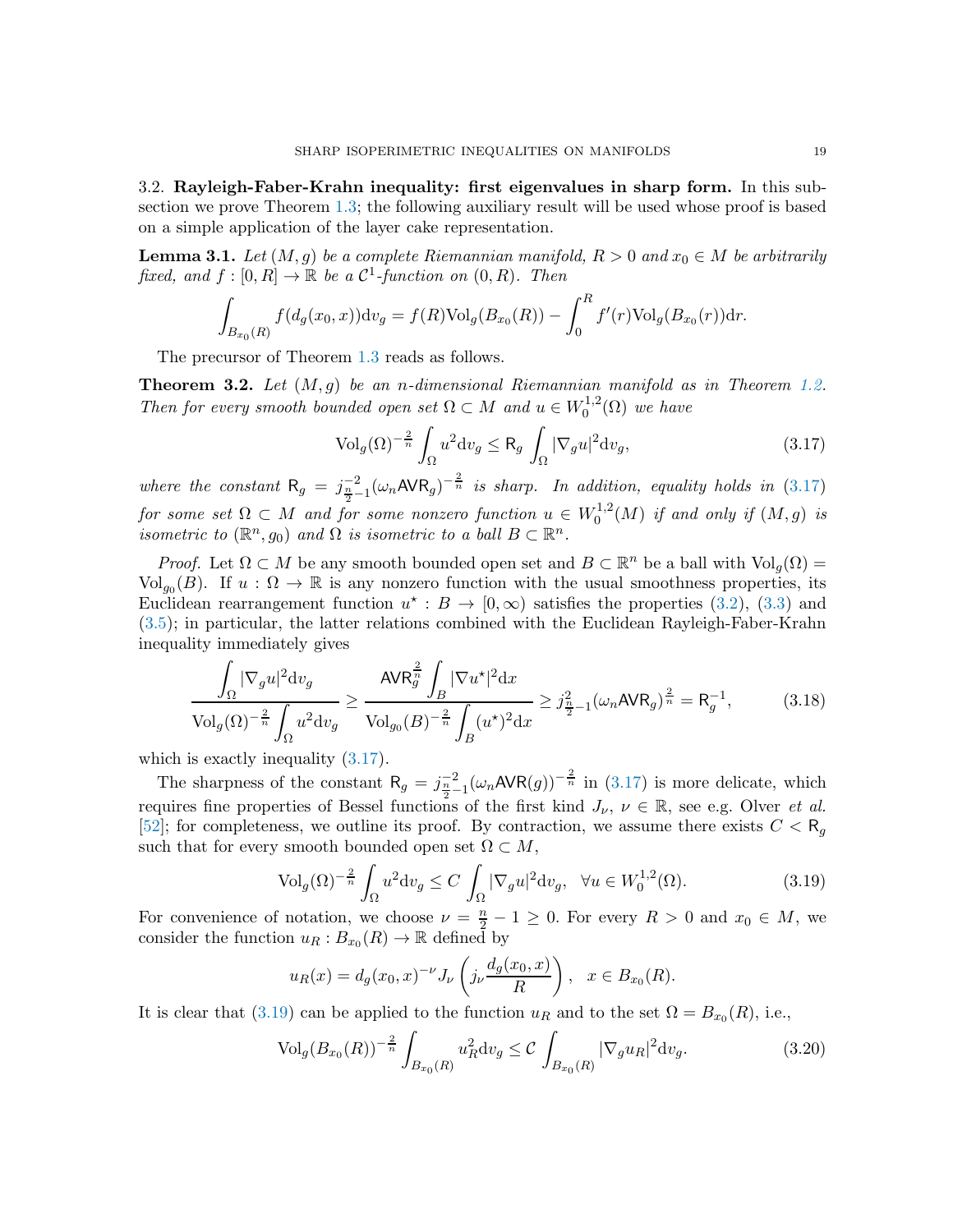<span id="page-18-0"></span>3.2. Rayleigh-Faber-Krahn inequality: first eigenvalues in sharp form. In this subsection we prove Theorem [1.3;](#page-4-2) the following auxiliary result will be used whose proof is based on a simple application of the layer cake representation.

<span id="page-18-3"></span>**Lemma 3.1.** Let  $(M, g)$  be a complete Riemannian manifold,  $R > 0$  and  $x_0 \in M$  be arbitrarily fixed, and  $f : [0, R] \to \mathbb{R}$  be a  $\mathcal{C}^1$ -function on  $(0, R)$ . Then

$$
\int_{B_{x_0}(R)} f(d_g(x_0, x)) \mathrm{d}v_g = f(R) \mathrm{Vol}_g(B_{x_0}(R)) - \int_0^R f'(r) \mathrm{Vol}_g(B_{x_0}(r)) \mathrm{d}r.
$$

The precursor of Theorem [1.3](#page-4-2) reads as follows.

<span id="page-18-6"></span>**Theorem 3.2.** Let  $(M, g)$  be an n-dimensional Riemannian manifold as in Theorem [1.2.](#page-3-2) Then for every smooth bounded open set  $\Omega \subset M$  and  $u \in W_0^{1,2}$  $\mathcal{O}_0^{1,2}(\Omega)$  we have

<span id="page-18-1"></span>
$$
\text{Vol}_g(\Omega)^{-\frac{2}{n}} \int_{\Omega} u^2 \mathrm{d}v_g \le \mathsf{R}_g \int_{\Omega} |\nabla_g u|^2 \mathrm{d}v_g,\tag{3.17}
$$

where the constant  $R_g = j_{\frac{n}{2}-1}^{-2} (\omega_n AVR_g)^{-\frac{2}{n}}$  is sharp. In addition, equality holds in [\(3.17\)](#page-18-1) for some set  $\Omega \subset M$  and for some nonzero function  $u \in W_0^{1,2}$  $j_0^{1,2}(M)$  if and only if  $(M,g)$  is isometric to  $(\mathbb{R}^n, g_0)$  and  $\Omega$  is isometric to a ball  $B \subset \mathbb{R}^n$ .

*Proof.* Let  $\Omega \subset M$  be any smooth bounded open set and  $B \subset \mathbb{R}^n$  be a ball with  $\text{Vol}_g(\Omega) =$ Vol<sub>go</sub> $(B)$ . If  $u : \Omega \to \mathbb{R}$  is any nonzero function with the usual smoothness properties, its Euclidean rearrangement function  $u^* : B \to [0, \infty)$  satisfies the properties [\(3.2\)](#page-14-7), [\(3.3\)](#page-14-6) and [\(3.5\)](#page-14-3); in particular, the latter relations combined with the Euclidean Rayleigh-Faber-Krahn inequality immediately gives

<span id="page-18-5"></span>
$$
\frac{\int_{\Omega} |\nabla_g u|^2 dv_g}{\text{Vol}_g(\Omega)^{-\frac{2}{n}} \int_{\Omega} u^2 dv_g} \ge \frac{\text{AVR}_g^{\frac{2}{n}} \int_{B} |\nabla u^*|^2 dx}{\text{Vol}_{g_0}(B)^{-\frac{2}{n}} \int_{B} (u^*)^2 dx} \ge j_{\frac{n}{2}-1}^2 (\omega_n \text{AVR}_g)^{\frac{2}{n}} = \text{R}_g^{-1},\tag{3.18}
$$

which is exactly inequality  $(3.17)$ .

The sharpness of the constant  $R_g = j_{\frac{n}{2}-1}^{-2} (\omega_n AVR(g))^{-\frac{2}{n}}$  in [\(3.17\)](#page-18-1) is more delicate, which requires fine properties of Bessel functions of the first kind  $J_{\nu}$ ,  $\nu \in \mathbb{R}$ , see e.g. Olver *et al.* [\[52\]](#page-22-16); for completeness, we outline its proof. By contraction, we assume there exists  $C < R_{q}$ such that for every smooth bounded open set  $\Omega \subset M$ ,

<span id="page-18-2"></span>
$$
\text{Vol}_g(\Omega)^{-\frac{2}{n}} \int_{\Omega} u^2 \mathrm{d}v_g \le C \int_{\Omega} |\nabla_g u|^2 \mathrm{d}v_g, \ \ \forall u \in W_0^{1,2}(\Omega). \tag{3.19}
$$

For convenience of notation, we choose  $\nu = \frac{n}{2} - 1 \geq 0$ . For every  $R > 0$  and  $x_0 \in M$ , we consider the function  $u_R: B_{x_0}(R) \to \mathbb{R}$  defined by

$$
u_R(x) = d_g(x_0, x)^{-\nu} J_{\nu} \left( j_{\nu} \frac{d_g(x_0, x)}{R} \right), \quad x \in B_{x_0}(R).
$$

It is clear that [\(3.19\)](#page-18-2) can be applied to the function  $u_R$  and to the set  $\Omega = B_{x_0}(R)$ , i.e.,

<span id="page-18-4"></span>
$$
\text{Vol}_g(B_{x_0}(R))^{-\frac{2}{n}} \int_{B_{x_0}(R)} u_R^2 dv_g \le C \int_{B_{x_0}(R)} |\nabla_g u_R|^2 dv_g. \tag{3.20}
$$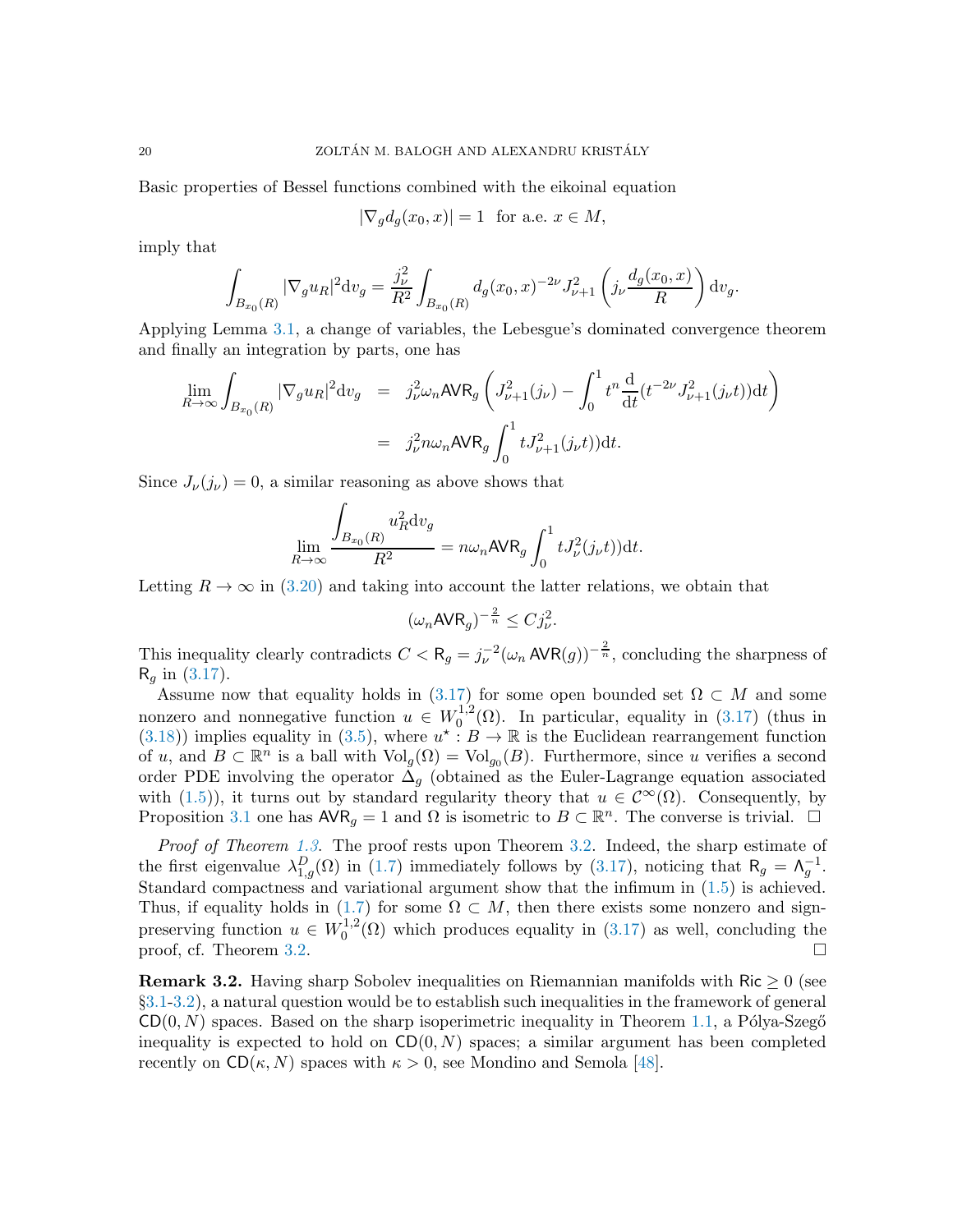Basic properties of Bessel functions combined with the eikoinal equation

$$
|\nabla_g d_g(x_0, x)| = 1 \text{ for a.e. } x \in M,
$$

imply that

$$
\int_{B_{x_0}(R)} |\nabla_g u_R|^2 dv_g = \frac{j_\nu^2}{R^2} \int_{B_{x_0}(R)} d_g(x_0, x)^{-2\nu} J_{\nu+1}^2 \left( j_\nu \frac{d_g(x_0, x)}{R} \right) dv_g.
$$

Applying Lemma [3.1,](#page-18-3) a change of variables, the Lebesgue's dominated convergence theorem and finally an integration by parts, one has

$$
\lim_{R \to \infty} \int_{B_{x_0}(R)} |\nabla_g u_R|^2 \mathrm{d}v_g = j_\nu^2 \omega_n \text{AVR}_g \left( J_{\nu+1}^2(j_\nu) - \int_0^1 t^n \frac{\mathrm{d}}{\mathrm{d}t} (t^{-2\nu} J_{\nu+1}^2(j_\nu t)) \mathrm{d}t \right)
$$
\n
$$
= j_\nu^2 n \omega_n \text{AVR}_g \int_0^1 t J_{\nu+1}^2(j_\nu t) \mathrm{d}t.
$$

Since  $J_{\nu}(j_{\nu}) = 0$ , a similar reasoning as above shows that

$$
\lim_{R \to \infty} \frac{\int_{B_{x_0}(R)} u_R^2 dv_g}{R^2} = n\omega_n \text{AVR}_g \int_0^1 t J_\nu^2(j_\nu t) dt.
$$

Letting  $R \to \infty$  in [\(3.20\)](#page-18-4) and taking into account the latter relations, we obtain that

$$
(\omega_n \mathsf{AVR}_g)^{-\frac{2}{n}} \leq C j_\nu^2.
$$

This inequality clearly contradicts  $C < R_g = j_{\nu}^{-2}(\omega_n AVR(g))^{-\frac{2}{n}}$ , concluding the sharpness of  $R_q$  in [\(3.17\)](#page-18-1).

Assume now that equality holds in [\(3.17\)](#page-18-1) for some open bounded set  $\Omega \subset M$  and some nonzero and nonnegative function  $u \in W_0^{1,2}$  $_{0}^{1,2}(\Omega)$ . In particular, equality in  $(3.17)$  (thus in [\(3.18\)](#page-18-5)) implies equality in [\(3.5\)](#page-14-3), where  $u^* : B \to \mathbb{R}$  is the Euclidean rearrangement function of u, and  $B \subset \mathbb{R}^n$  is a ball with  $\text{Vol}_g(\Omega) = \text{Vol}_{g_0}(B)$ . Furthermore, since u verifies a second order PDE involving the operator  $\Delta_q$  (obtained as the Euler-Lagrange equation associated with [\(1.5\)](#page-4-3)), it turns out by standard regularity theory that  $u \in C^{\infty}(\Omega)$ . Consequently, by Proposition [3.1](#page-14-0) one has  $AVR<sub>g</sub> = 1$  and  $\Omega$  is isometric to  $B \subset \mathbb{R}^n$ . The converse is trivial.  $\Box$ 

Proof of Theorem [1.3](#page-4-2). The proof rests upon Theorem [3.2.](#page-18-6) Indeed, the sharp estimate of the first eigenvalue  $\lambda_{1,g}^D(\Omega)$  in [\(1.7\)](#page-4-1) immediately follows by [\(3.17\)](#page-18-1), noticing that  $R_g = \Lambda_g^{-1}$ . Standard compactness and variational argument show that the infimum in [\(1.5\)](#page-4-3) is achieved. Thus, if equality holds in [\(1.7\)](#page-4-1) for some  $\Omega \subset M$ , then there exists some nonzero and signpreserving function  $u \in W_0^{1,2}$  $0^{1,2}(\Omega)$  which produces equality in  $(3.17)$  as well, concluding the proof, cf. Theorem [3.2.](#page-18-6)

**Remark 3.2.** Having sharp Sobolev inequalities on Riemannian manifolds with Ric  $\geq 0$  (see §[3.1](#page-16-5)[-3.2\)](#page-18-0), a natural question would be to establish such inequalities in the framework of general  $CD(0, N)$  spaces. Based on the sharp isoperimetric inequality in Theorem [1.1,](#page-1-1) a Pólya-Szegő inequality is expected to hold on  $CD(0, N)$  spaces; a similar argument has been completed recently on  $CD(\kappa, N)$  spaces with  $\kappa > 0$ , see Mondino and Semola [\[48\]](#page-21-24).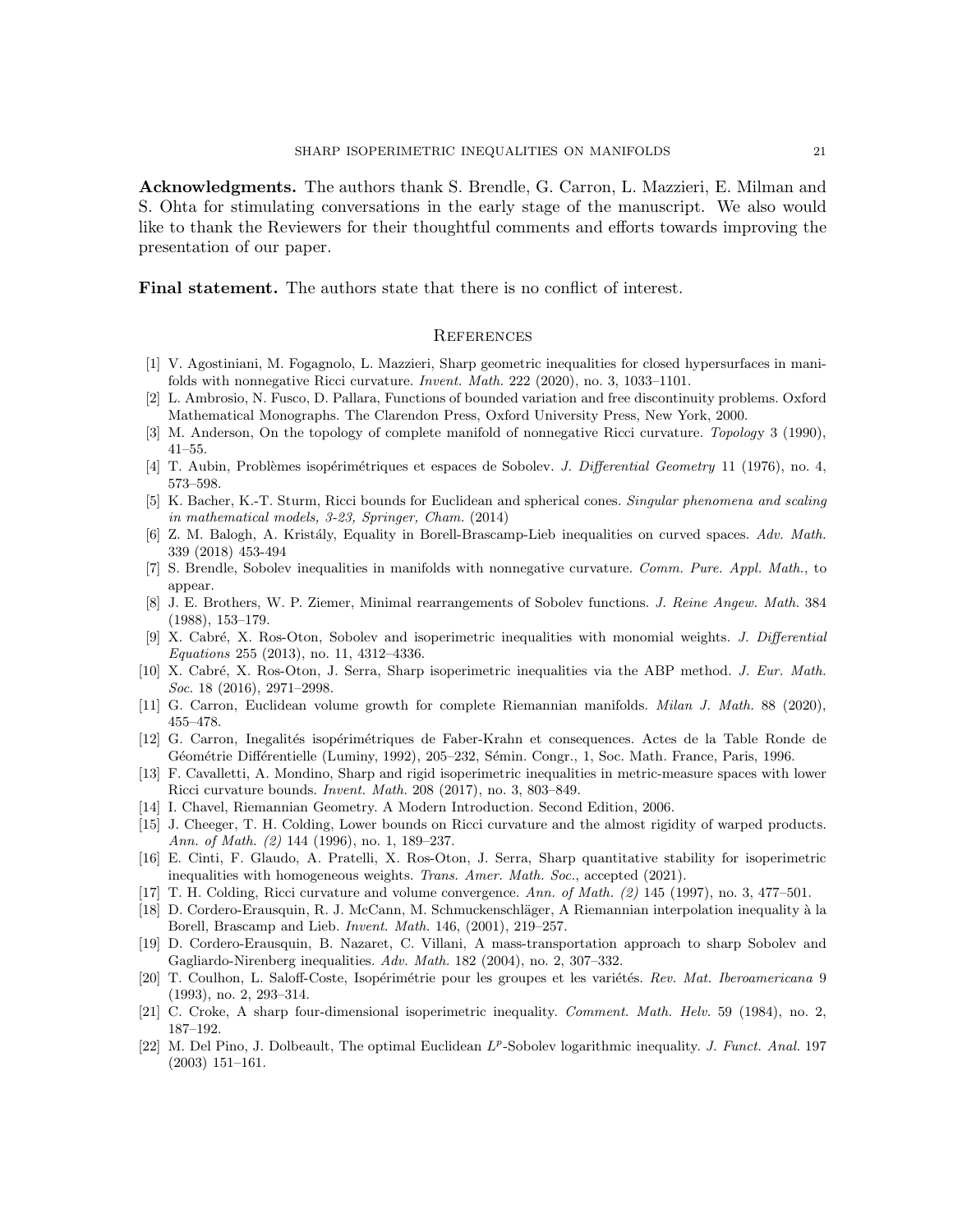Acknowledgments. The authors thank S. Brendle, G. Carron, L. Mazzieri, E. Milman and S. Ohta for stimulating conversations in the early stage of the manuscript. We also would like to thank the Reviewers for their thoughtful comments and efforts towards improving the presentation of our paper.

Final statement. The authors state that there is no conflict of interest.

## **REFERENCES**

- <span id="page-20-12"></span>[1] V. Agostiniani, M. Fogagnolo, L. Mazzieri, Sharp geometric inequalities for closed hypersurfaces in manifolds with nonnegative Ricci curvature. Invent. Math. 222 (2020), no. 3, 1033–1101.
- <span id="page-20-16"></span><span id="page-20-15"></span>[2] L. Ambrosio, N. Fusco, D. Pallara, Functions of bounded variation and free discontinuity problems. Oxford Mathematical Monographs. The Clarendon Press, Oxford University Press, New York, 2000.
- <span id="page-20-6"></span>[3] M. Anderson, On the topology of complete manifold of nonnegative Ricci curvature. Topology 3 (1990), 41–55.
- <span id="page-20-11"></span>[4] T. Aubin, Problèmes isopérimétriques et espaces de Sobolev. J. Differential Geometry 11 (1976), no. 4, 573–598.
- [5] K. Bacher, K.-T. Sturm, Ricci bounds for Euclidean and spherical cones. Singular phenomena and scaling in mathematical models, 3-23, Springer, Cham. (2014)
- <span id="page-20-13"></span>[6] Z. M. Balogh, A. Kristály, Equality in Borell-Brascamp-Lieb inequalities on curved spaces. Adv. Math. 339 (2018) 453-494
- <span id="page-20-5"></span>[7] S. Brendle, Sobolev inequalities in manifolds with nonnegative curvature. Comm. Pure. Appl. Math., to appear.
- <span id="page-20-20"></span>[8] J. E. Brothers, W. P. Ziemer, Minimal rearrangements of Sobolev functions. J. Reine Angew. Math. 384 (1988), 153–179.
- <span id="page-20-0"></span>[9] X. Cabr´e, X. Ros-Oton, Sobolev and isoperimetric inequalities with monomial weights. J. Differential Equations 255 (2013), no. 11, 4312–4336.
- <span id="page-20-1"></span>[10] X. Cabré, X. Ros-Oton, J. Serra, Sharp isoperimetric inequalities via the ABP method. J. Eur. Math. Soc. 18 (2016), 2971–2998.
- <span id="page-20-19"></span><span id="page-20-9"></span>[11] G. Carron, Euclidean volume growth for complete Riemannian manifolds. Milan J. Math. 88 (2020), 455–478.
- [12] G. Carron, Inegalités isopérimétriques de Faber-Krahn et consequences. Actes de la Table Ronde de Géométrie Différentielle (Luminy, 1992), 205–232, Sémin. Congr., 1, Soc. Math. France, Paris, 1996.
- <span id="page-20-4"></span>[13] F. Cavalletti, A. Mondino, Sharp and rigid isoperimetric inequalities in metric-measure spaces with lower Ricci curvature bounds. Invent. Math. 208 (2017), no. 3, 803–849.
- <span id="page-20-17"></span><span id="page-20-14"></span>[14] I. Chavel, Riemannian Geometry. A Modern Introduction. Second Edition, 2006.
- [15] J. Cheeger, T. H. Colding, Lower bounds on Ricci curvature and the almost rigidity of warped products. Ann. of Math. (2) 144 (1996), no. 1, 189–237.
- <span id="page-20-10"></span>[16] E. Cinti, F. Glaudo, A. Pratelli, X. Ros-Oton, J. Serra, Sharp quantitative stability for isoperimetric inequalities with homogeneous weights. Trans. Amer. Math. Soc., accepted (2021).
- <span id="page-20-18"></span><span id="page-20-3"></span>[17] T. H. Colding, Ricci curvature and volume convergence. Ann. of Math. (2) 145 (1997), no. 3, 477–501.
- [18] D. Cordero-Erausquin, R. J. McCann, M. Schmuckenschläger, A Riemannian interpolation inequality à la Borell, Brascamp and Lieb. Invent. Math. 146, (2001), 219–257.
- <span id="page-20-2"></span>[19] D. Cordero-Erausquin, B. Nazaret, C. Villani, A mass-transportation approach to sharp Sobolev and Gagliardo-Nirenberg inequalities. Adv. Math. 182 (2004), no. 2, 307–332.
- <span id="page-20-8"></span>[20] T. Coulhon, L. Saloff-Coste, Isopérimétrie pour les groupes et les variétés. Rev. Mat. Iberoamericana 9 (1993), no. 2, 293–314.
- <span id="page-20-7"></span>[21] C. Croke, A sharp four-dimensional isoperimetric inequality. *Comment. Math. Helv.* 59 (1984), no. 2, 187–192.
- <span id="page-20-21"></span>[22] M. Del Pino, J. Dolbeault, The optimal Euclidean  $L^p$ -Sobolev logarithmic inequality. *J. Funct. Anal.* 197 (2003) 151–161.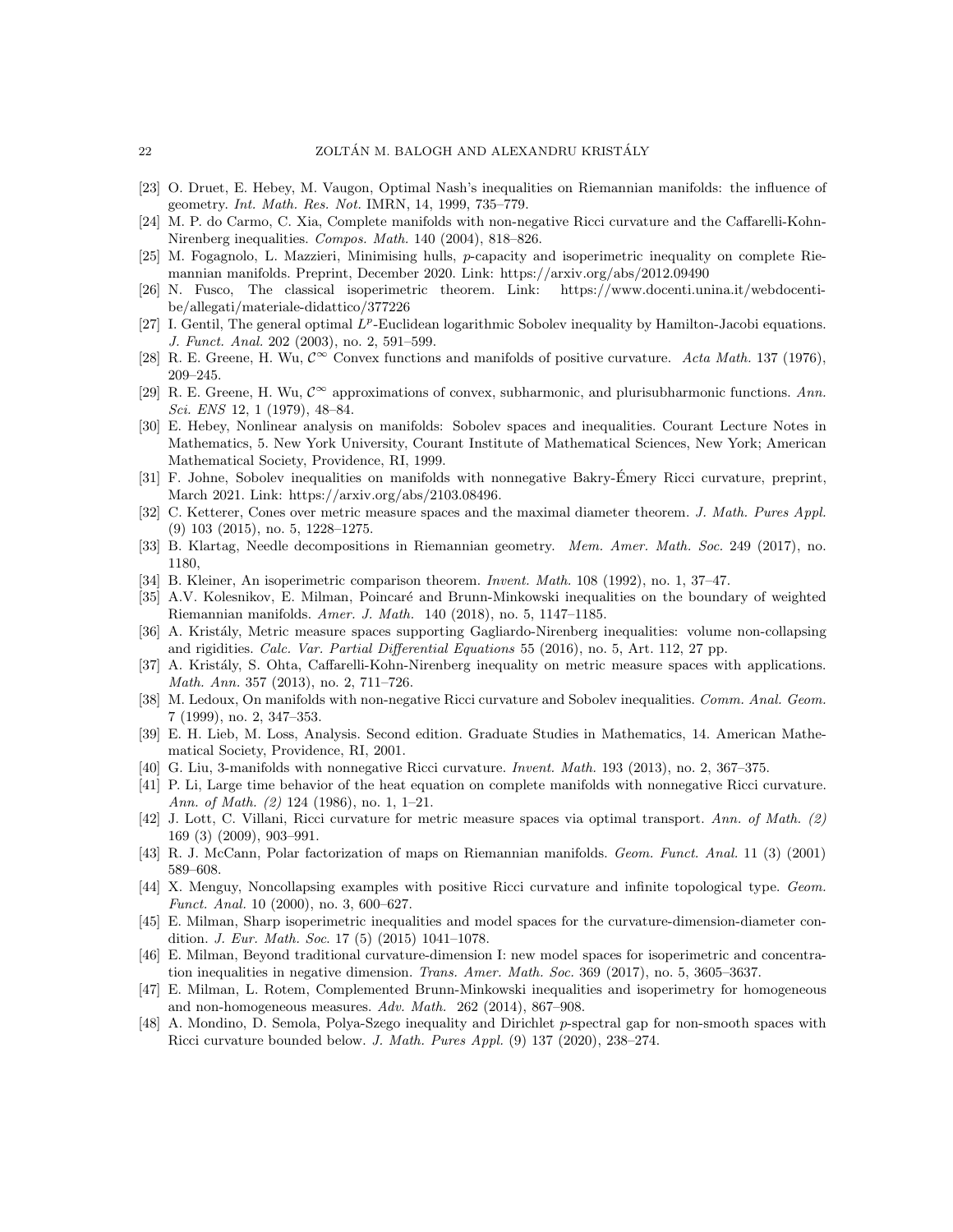- <span id="page-21-22"></span>[23] O. Druet, E. Hebey, M. Vaugon, Optimal Nash's inequalities on Riemannian manifolds: the influence of geometry. Int. Math. Res. Not. IMRN, 14, 1999, 735–779.
- <span id="page-21-8"></span>[24] M. P. do Carmo, C. Xia, Complete manifolds with non-negative Ricci curvature and the Caffarelli-Kohn-Nirenberg inequalities. Compos. Math. 140 (2004), 818–826.
- <span id="page-21-18"></span><span id="page-21-11"></span>[25] M. Fogagnolo, L. Mazzieri, Minimising hulls, p-capacity and isoperimetric inequality on complete Riemannian manifolds. Preprint, December 2020. Link: https://arxiv.org/abs/2012.09490
- [26] N. Fusco, The classical isoperimetric theorem. Link: https://www.docenti.unina.it/webdocentibe/allegati/materiale-didattico/377226
- [27] I. Gentil, The general optimal  $L^p$ -Euclidean logarithmic Sobolev inequality by Hamilton-Jacobi equations. J. Funct. Anal. 202 (2003), no. 2, 591–599.
- <span id="page-21-17"></span>[28] R. E. Greene, H. Wu,  $\mathcal{C}^{\infty}$  Convex functions and manifolds of positive curvature. Acta Math. 137 (1976), 209–245.
- <span id="page-21-16"></span>[29] R. E. Greene, H. Wu,  $C^{\infty}$  approximations of convex, subharmonic, and plurisubharmonic functions. Ann. Sci. ENS 12, 1 (1979), 48–84.
- <span id="page-21-10"></span>[30] E. Hebey, Nonlinear analysis on manifolds: Sobolev spaces and inequalities. Courant Lecture Notes in Mathematics, 5. New York University, Courant Institute of Mathematical Sciences, New York; American Mathematical Society, Providence, RI, 1999.
- <span id="page-21-5"></span>[31] F. Johne, Sobolev inequalities on manifolds with nonnegative Bakry-Émery Ricci curvature, preprint, March 2021. Link: https://arxiv.org/abs/2103.08496.
- <span id="page-21-14"></span>[32] C. Ketterer, Cones over metric measure spaces and the maximal diameter theorem. J. Math. Pures Appl. (9) 103 (2015), no. 5, 1228–1275.
- <span id="page-21-4"></span>[33] B. Klartag, Needle decompositions in Riemannian geometry. Mem. Amer. Math. Soc. 249 (2017), no. 1180,
- <span id="page-21-12"></span><span id="page-21-6"></span>[34] B. Kleiner, An isoperimetric comparison theorem. Invent. Math. 108 (1992), no. 1, 37–47.
- [35] A.V. Kolesnikov, E. Milman, Poincaré and Brunn-Minkowski inequalities on the boundary of weighted Riemannian manifolds. Amer. J. Math. 140 (2018), no. 5, 1147–1185.
- <span id="page-21-9"></span>[36] A. Kristály, Metric measure spaces supporting Gagliardo-Nirenberg inequalities: volume non-collapsing and rigidities. Calc. Var. Partial Differential Equations 55 (2016), no. 5, Art. 112, 27 pp.
- <span id="page-21-23"></span>[37] A. Kristály, S. Ohta, Caffarelli-Kohn-Nirenberg inequality on metric measure spaces with applications. Math. Ann. 357 (2013), no. 2, 711–726.
- <span id="page-21-7"></span>[38] M. Ledoux, On manifolds with non-negative Ricci curvature and Sobolev inequalities. Comm. Anal. Geom. 7 (1999), no. 2, 347–353.
- <span id="page-21-0"></span>[39] E. H. Lieb, M. Loss, Analysis. Second edition. Graduate Studies in Mathematics, 14. American Mathematical Society, Providence, RI, 2001.
- <span id="page-21-20"></span><span id="page-21-19"></span>[40] G. Liu, 3-manifolds with nonnegative Ricci curvature. Invent. Math. 193 (2013), no. 2, 367–375.
- [41] P. Li, Large time behavior of the heat equation on complete manifolds with nonnegative Ricci curvature. Ann. of Math. (2) 124 (1986), no. 1, 1-21.
- <span id="page-21-1"></span>[42] J. Lott, C. Villani, Ricci curvature for metric measure spaces via optimal transport. Ann. of Math. (2) 169 (3) (2009), 903–991.
- <span id="page-21-21"></span><span id="page-21-15"></span>[43] R. J. McCann, Polar factorization of maps on Riemannian manifolds. Geom. Funct. Anal. 11 (3) (2001) 589–608.
- [44] X. Menguy, Noncollapsing examples with positive Ricci curvature and infinite topological type. Geom. Funct. Anal. 10 (2000), no. 3, 600–627.
- <span id="page-21-2"></span>[45] E. Milman, Sharp isoperimetric inequalities and model spaces for the curvature-dimension-diameter condition. J. Eur. Math. Soc. 17 (5) (2015) 1041–1078.
- <span id="page-21-3"></span>[46] E. Milman, Beyond traditional curvature-dimension I: new model spaces for isoperimetric and concentration inequalities in negative dimension. Trans. Amer. Math. Soc. 369 (2017), no. 5, 3605–3637.
- <span id="page-21-13"></span>[47] E. Milman, L. Rotem, Complemented Brunn-Minkowski inequalities and isoperimetry for homogeneous and non-homogeneous measures. Adv. Math. 262 (2014), 867–908.
- <span id="page-21-24"></span>[48] A. Mondino, D. Semola, Polya-Szego inequality and Dirichlet p-spectral gap for non-smooth spaces with Ricci curvature bounded below. J. Math. Pures Appl. (9) 137 (2020), 238–274.